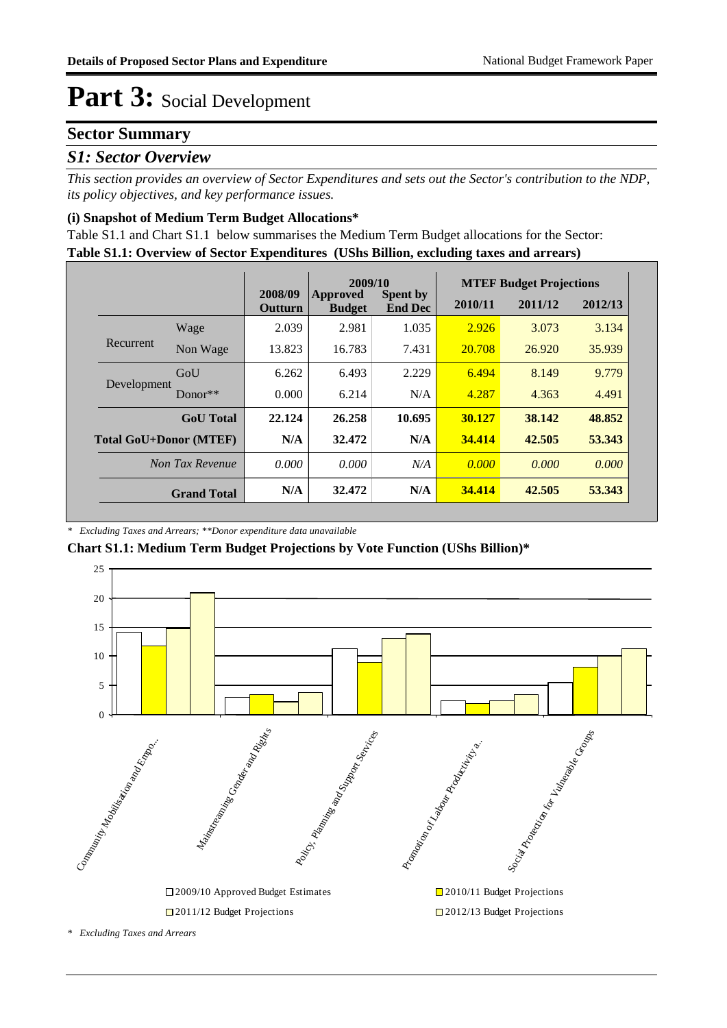### **Sector Summary**

### *S1: Sector Overview*

*This section provides an overview of Sector Expenditures and sets out the Sector's contribution to the NDP, its policy objectives, and key performance issues.* 

### **(i) Snapshot of Medium Term Budget Allocations\***

**Table S1.1: Overview of Sector Expenditures (UShs Billion, excluding taxes and arrears)** Table S1.1 and Chart S1.1 below summarises the Medium Term Budget allocations for the Sector:

|                               |                    |                    | 2009/10                          |                                   |         | <b>MTEF Budget Projections</b> |         |
|-------------------------------|--------------------|--------------------|----------------------------------|-----------------------------------|---------|--------------------------------|---------|
|                               |                    | 2008/09<br>Outturn | <b>Approved</b><br><b>Budget</b> | <b>Spent by</b><br><b>End Dec</b> | 2010/11 | 2011/12                        | 2012/13 |
| Recurrent                     | Wage               | 2.039              | 2.981                            | 1.035                             | 2.926   | 3.073                          | 3.134   |
|                               | Non Wage           | 13.823             | 16.783                           | 7.431                             | 20.708  | 26.920                         | 35.939  |
| Development                   | GoU                | 6.262              | 6.493                            | 2.229                             | 6.494   | 8.149                          | 9.779   |
|                               | Donor $**$         | 0.000              | 6.214                            | N/A                               | 4.287   | 4.363                          | 4.491   |
|                               | <b>GoU</b> Total   | 22.124             | 26.258                           | 10.695                            | 30.127  | 38.142                         | 48.852  |
| <b>Total GoU+Donor (MTEF)</b> |                    | N/A                | 32.472                           | N/A                               | 34.414  | 42.505                         | 53.343  |
| Non Tax Revenue               |                    | 0.000              | 0.000                            | N/A                               | 0.000   | 0.000                          | 0.000   |
|                               | <b>Grand Total</b> | N/A                | 32.472                           | N/A                               | 34.414  | 42.505                         | 53.343  |

#### *\* Excluding Taxes and Arrears; \*\*Donor expenditure data unavailable*

### **Chart S1.1: Medium Term Budget Projections by Vote Function (UShs Billion)\***

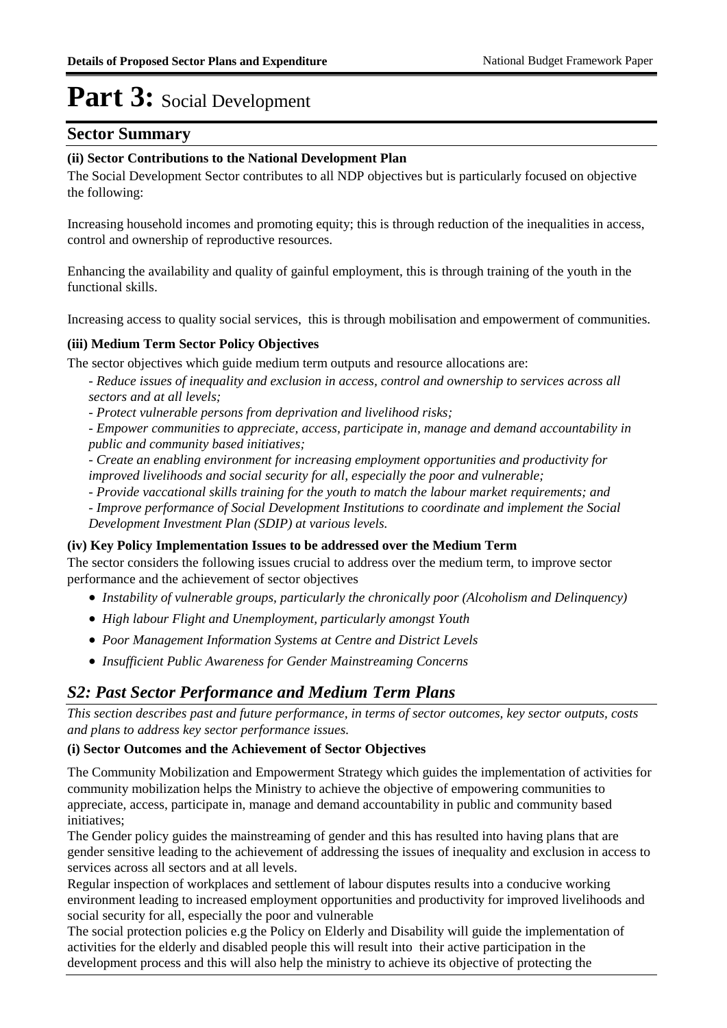### **Sector Summary**

### **(ii) Sector Contributions to the National Development Plan**

The Social Development Sector contributes to all NDP objectives but is particularly focused on objective the following:

Increasing household incomes and promoting equity; this is through reduction of the inequalities in access, control and ownership of reproductive resources.

Enhancing the availability and quality of gainful employment, this is through training of the youth in the functional skills.

Increasing access to quality social services, this is through mobilisation and empowerment of communities.

### **(iii) Medium Term Sector Policy Objectives**

The sector objectives which guide medium term outputs and resource allocations are:

- *Reduce issues of inequality and exclusion in access, control and ownership to services across all sectors and at all levels;*
- *Protect vulnerable persons from deprivation and livelihood risks;*
- *Empower communities to appreciate, access, participate in, manage and demand accountability in public and community based initiatives;*
- *Create an enabling environment for increasing employment opportunities and productivity for improved livelihoods and social security for all, especially the poor and vulnerable;*
- *Provide vaccational skills training for the youth to match the labour market requirements; and*

*- Improve performance of Social Development Institutions to coordinate and implement the Social* 

*Development Investment Plan (SDIP) at various levels.*

#### **(iv) Key Policy Implementation Issues to be addressed over the Medium Term**

The sector considers the following issues crucial to address over the medium term, to improve sector performance and the achievement of sector objectives

- *Instability of vulnerable groups, particularly the chronically poor (Alcoholism and Delinquency)*
- *High labour Flight and Unemployment, particularly amongst Youth*
- *Poor Management Information Systems at Centre and District Levels*
- *Insufficient Public Awareness for Gender Mainstreaming Concerns*

### *S2: Past Sector Performance and Medium Term Plans*

*This section describes past and future performance, in terms of sector outcomes, key sector outputs, costs and plans to address key sector performance issues.* 

#### **(i) Sector Outcomes and the Achievement of Sector Objectives**

The Community Mobilization and Empowerment Strategy which guides the implementation of activities for community mobilization helps the Ministry to achieve the objective of empowering communities to appreciate, access, participate in, manage and demand accountability in public and community based initiatives;

The Gender policy guides the mainstreaming of gender and this has resulted into having plans that are gender sensitive leading to the achievement of addressing the issues of inequality and exclusion in access to services across all sectors and at all levels.

Regular inspection of workplaces and settlement of labour disputes results into a conducive working environment leading to increased employment opportunities and productivity for improved livelihoods and social security for all, especially the poor and vulnerable

The social protection policies e.g the Policy on Elderly and Disability will guide the implementation of activities for the elderly and disabled people this will result into their active participation in the development process and this will also help the ministry to achieve its objective of protecting the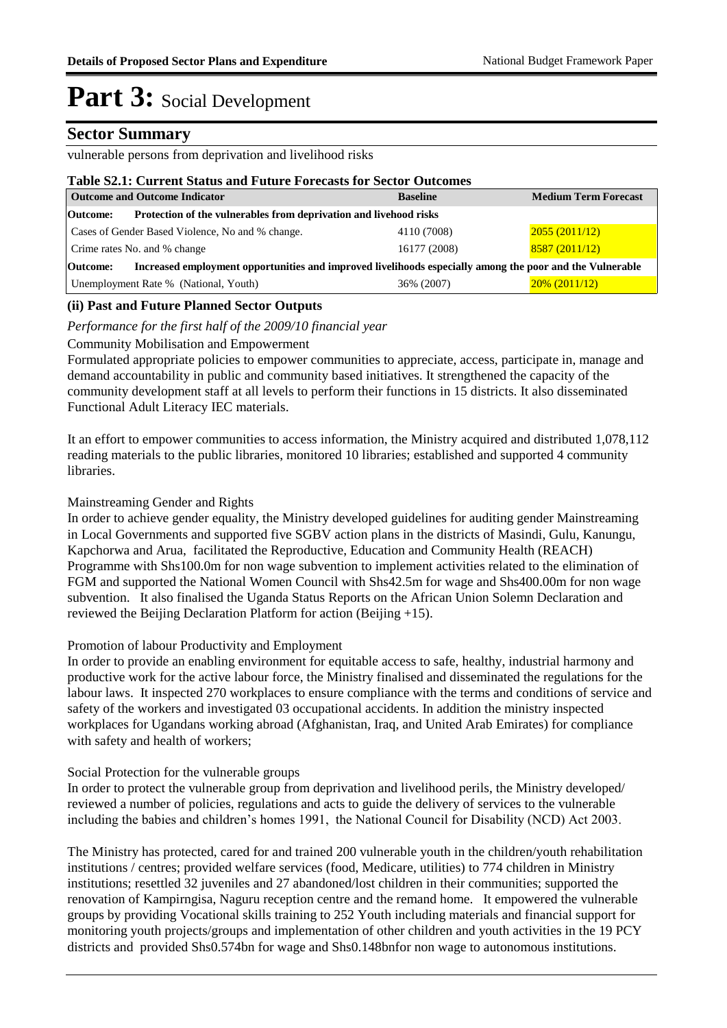### **Sector Summary**

vulnerable persons from deprivation and livelihood risks

#### **Table S2.1: Current Status and Future Forecasts for Sector Outcomes**

| <b>Outcome and Outcome Indicator</b>                                                                                 | <b>Baseline</b> | <b>Medium Term Forecast</b> |  |  |  |  |
|----------------------------------------------------------------------------------------------------------------------|-----------------|-----------------------------|--|--|--|--|
| Protection of the vulnerables from deprivation and livehood risks<br>Outcome:                                        |                 |                             |  |  |  |  |
| Cases of Gender Based Violence, No and % change.                                                                     | 4110 (7008)     | 2055(2011/12)               |  |  |  |  |
| Crime rates No. and % change                                                                                         | 16177 (2008)    | 8587(2011/12)               |  |  |  |  |
| Increased employment opportunities and improved livelihoods especially among the poor and the Vulnerable<br>Outcome: |                 |                             |  |  |  |  |
| Unemployment Rate % (National, Youth)                                                                                | 36% (2007)      | $20\%$ (2011/12)            |  |  |  |  |

### **(ii) Past and Future Planned Sector Outputs**

*Performance for the first half of the 2009/10 financial year*

### Community Mobilisation and Empowerment

Formulated appropriate policies to empower communities to appreciate, access, participate in, manage and demand accountability in public and community based initiatives. It strengthened the capacity of the community development staff at all levels to perform their functions in 15 districts. It also disseminated Functional Adult Literacy IEC materials.

It an effort to empower communities to access information, the Ministry acquired and distributed 1,078,112 reading materials to the public libraries, monitored 10 libraries; established and supported 4 community libraries.

### Mainstreaming Gender and Rights

In order to achieve gender equality, the Ministry developed guidelines for auditing gender Mainstreaming in Local Governments and supported five SGBV action plans in the districts of Masindi, Gulu, Kanungu, Kapchorwa and Arua, facilitated the Reproductive, Education and Community Health (REACH) Programme with Shs100.0m for non wage subvention to implement activities related to the elimination of FGM and supported the National Women Council with Shs42.5m for wage and Shs400.00m for non wage subvention. It also finalised the Uganda Status Reports on the African Union Solemn Declaration and reviewed the Beijing Declaration Platform for action (Beijing +15).

### Promotion of labour Productivity and Employment

In order to provide an enabling environment for equitable access to safe, healthy, industrial harmony and productive work for the active labour force, the Ministry finalised and disseminated the regulations for the labour laws. It inspected 270 workplaces to ensure compliance with the terms and conditions of service and safety of the workers and investigated 03 occupational accidents. In addition the ministry inspected workplaces for Ugandans working abroad (Afghanistan, Iraq, and United Arab Emirates) for compliance with safety and health of workers;

#### Social Protection for the vulnerable groups

In order to protect the vulnerable group from deprivation and livelihood perils, the Ministry developed/ reviewed a number of policies, regulations and acts to guide the delivery of services to the vulnerable including the babies and children's homes 1991, the National Council for Disability (NCD) Act 2003.

The Ministry has protected, cared for and trained 200 vulnerable youth in the children/youth rehabilitation institutions / centres; provided welfare services (food, Medicare, utilities) to 774 children in Ministry institutions; resettled 32 juveniles and 27 abandoned/lost children in their communities; supported the renovation of Kampirngisa, Naguru reception centre and the remand home. It empowered the vulnerable groups by providing Vocational skills training to 252 Youth including materials and financial support for monitoring youth projects/groups and implementation of other children and youth activities in the 19 PCY districts and provided Shs0.574bn for wage and Shs0.148bnfor non wage to autonomous institutions.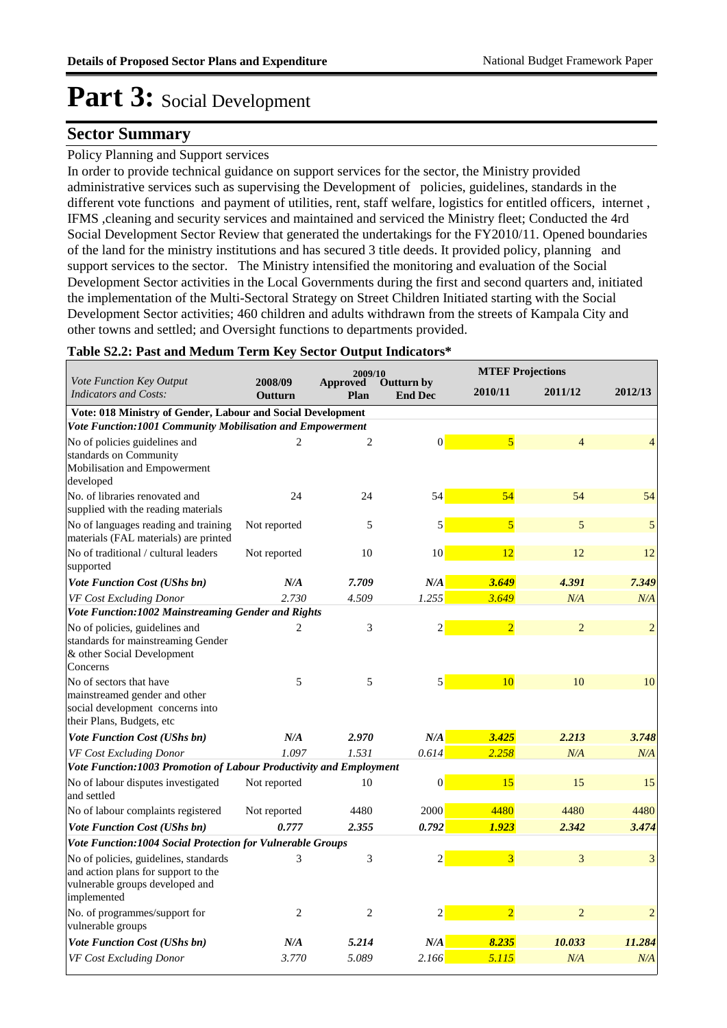### **Sector Summary**

#### Policy Planning and Support services

In order to provide technical guidance on support services for the sector, the Ministry provided administrative services such as supervising the Development of policies, guidelines, standards in the different vote functions and payment of utilities, rent, staff welfare, logistics for entitled officers, internet , IFMS ,cleaning and security services and maintained and serviced the Ministry fleet; Conducted the 4rd Social Development Sector Review that generated the undertakings for the FY2010/11. Opened boundaries of the land for the ministry institutions and has secured 3 title deeds. It provided policy, planning and support services to the sector. The Ministry intensified the monitoring and evaluation of the Social Development Sector activities in the Local Governments during the first and second quarters and, initiated the implementation of the Multi-Sectoral Strategy on Street Children Initiated starting with the Social Development Sector activities; 460 children and adults withdrawn from the streets of Kampala City and other towns and settled; and Oversight functions to departments provided.

#### **Table S2.2: Past and Medum Term Key Sector Output Indicators\***

|                                                                                                                                |                    | 2009/10                 |                              |                | <b>MTEF Projections</b> |                |
|--------------------------------------------------------------------------------------------------------------------------------|--------------------|-------------------------|------------------------------|----------------|-------------------------|----------------|
| Vote Function Key Output<br><b>Indicators and Costs:</b>                                                                       | 2008/09<br>Outturn | <b>Approved</b><br>Plan | Outturn by<br><b>End Dec</b> | 2010/11        | 2011/12                 | 2012/13        |
| Vote: 018 Ministry of Gender, Labour and Social Development                                                                    |                    |                         |                              |                |                         |                |
| Vote Function:1001 Community Mobilisation and Empowerment                                                                      |                    |                         |                              |                |                         |                |
| No of policies guidelines and<br>standards on Community<br>Mobilisation and Empowerment<br>developed                           | $\overline{c}$     | $\overline{c}$          | $\overline{0}$               | 5              | 4                       | 4              |
| No. of libraries renovated and<br>supplied with the reading materials                                                          | 24                 | 24                      | 54                           | 54             | 54                      | 54             |
| No of languages reading and training<br>materials (FAL materials) are printed                                                  | Not reported       | 5                       | 5                            | $\overline{5}$ | 5                       | 5              |
| No of traditional / cultural leaders<br>supported                                                                              | Not reported       | 10                      | 10                           | 12             | 12                      | 12             |
| Vote Function Cost (UShs bn)                                                                                                   | N/A                | 7.709                   | N/A                          | 3.649          | 4.391                   | 7.349          |
| <b>VF Cost Excluding Donor</b>                                                                                                 | 2.730              | 4.509                   | 1.255                        | 3.649          | N/A                     | N/A            |
| Vote Function:1002 Mainstreaming Gender and Rights                                                                             |                    |                         |                              |                |                         |                |
| No of policies, guidelines and<br>standards for mainstreaming Gender<br>& other Social Development<br>Concerns                 | 2                  | 3                       | $\overline{c}$               | $\overline{2}$ | $\overline{2}$          | $\overline{2}$ |
| No of sectors that have<br>mainstreamed gender and other<br>social development concerns into<br>their Plans, Budgets, etc      | 5                  | 5                       | $\mathbf{5}$                 | 10             | 10                      | 10             |
| <b>Vote Function Cost (UShs bn)</b>                                                                                            | N/A                | 2.970                   | N/A                          | 3.425          | 2.213                   | 3.748          |
| VF Cost Excluding Donor                                                                                                        | 1.097              | 1.531                   | 0.614                        | 2.258          | N/A                     | N/A            |
| Vote Function:1003 Promotion of Labour Productivity and Employment                                                             |                    |                         |                              |                |                         |                |
| No of labour disputes investigated<br>and settled                                                                              | Not reported       | 10                      | 0                            | 15             | 15                      | 15             |
| No of labour complaints registered                                                                                             | Not reported       | 4480                    | 2000                         | 4480           | 4480                    | 4480           |
| Vote Function Cost (UShs bn)                                                                                                   | 0.777              | 2.355                   | 0.792                        | 1.923          | 2.342                   | 3.474          |
| Vote Function:1004 Social Protection for Vulnerable Groups                                                                     |                    |                         |                              |                |                         |                |
| No of policies, guidelines, standards<br>and action plans for support to the<br>vulnerable groups developed and<br>implemented | 3                  | 3                       | 2                            | 3              | 3                       | 3              |
| No. of programmes/support for<br>vulnerable groups                                                                             | 2                  | $\mathbf{2}$            | $\overline{c}$               | $\overline{2}$ | $\mathfrak{D}$          | $\overline{2}$ |
| <b>Vote Function Cost (UShs bn)</b>                                                                                            | N/A                | 5.214                   | N/A                          | 8.235          | 10.033                  | 11.284         |
| VF Cost Excluding Donor                                                                                                        | 3.770              | 5.089                   | 2.166                        | 5.115          | N/A                     | N/A            |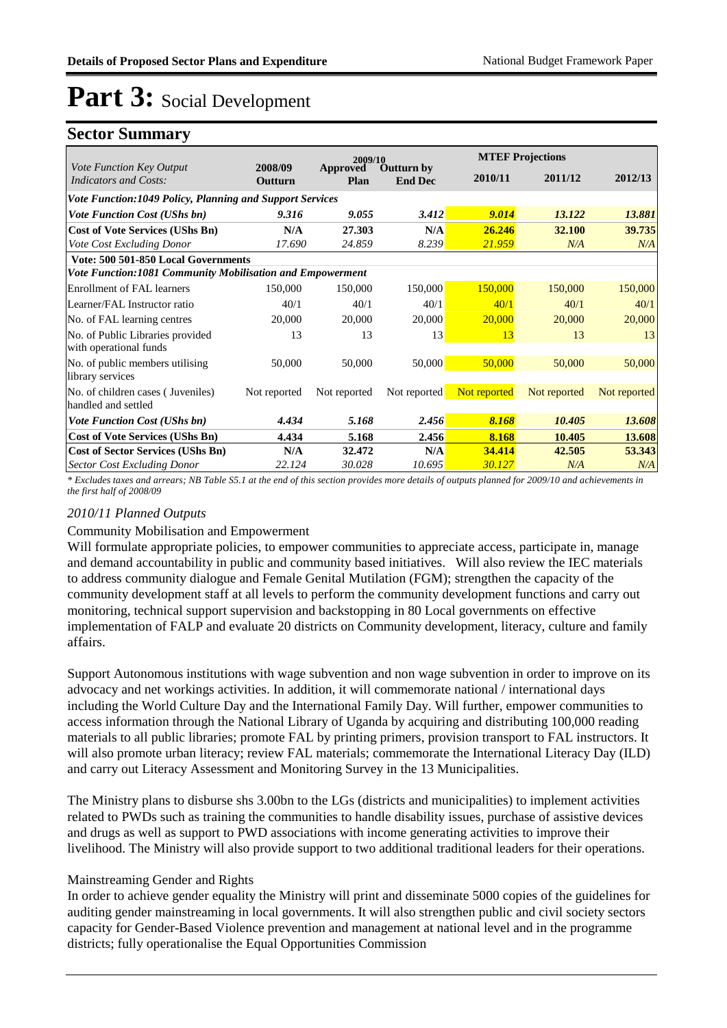### **Sector Summary**

|                                                                 | 2009/10                                                   |                  |                                     | <b>MTEF Projections</b> |              |              |  |  |  |  |
|-----------------------------------------------------------------|-----------------------------------------------------------|------------------|-------------------------------------|-------------------------|--------------|--------------|--|--|--|--|
| Vote Function Key Output<br>Indicators and Costs:               | 2008/09<br><b>Outturn</b>                                 | Approved<br>Plan | <b>Outturn by</b><br><b>End Dec</b> | 2010/11                 | 2011/12      | 2012/13      |  |  |  |  |
| <b>Vote Function:1049 Policy, Planning and Support Services</b> |                                                           |                  |                                     |                         |              |              |  |  |  |  |
| <b>Vote Function Cost (UShs bn)</b>                             | 9.316                                                     | 9.055            | 3.412                               | 9.014                   | 13.122       | 13.881       |  |  |  |  |
| <b>Cost of Vote Services (UShs Bn)</b>                          | N/A                                                       | 27.303           | N/A                                 | 26.246                  | 32.100       | 39.735       |  |  |  |  |
| Vote Cost Excluding Donor                                       | 17.690                                                    | 24.859           | 8.239                               | 21.959                  | N/A          | N/A          |  |  |  |  |
| Vote: 500 501-850 Local Governments                             |                                                           |                  |                                     |                         |              |              |  |  |  |  |
|                                                                 | Vote Function:1081 Community Mobilisation and Empowerment |                  |                                     |                         |              |              |  |  |  |  |
| Enrollment of FAL learners                                      | 150,000                                                   | 150,000          | 150,000                             | 150,000                 | 150,000      | 150,000      |  |  |  |  |
| Learner/FAL Instructor ratio                                    | 40/1                                                      | 40/1             | 40/1                                | 40/1                    | 40/1         | 40/1         |  |  |  |  |
| No. of FAL learning centres                                     | 20,000                                                    | 20,000           | 20,000                              | 20,000                  | 20,000       | 20,000       |  |  |  |  |
| No. of Public Libraries provided<br>with operational funds      | 13                                                        | 13               | 13                                  | 13                      | 13           | 13           |  |  |  |  |
| No. of public members utilising<br>library services             | 50,000                                                    | 50,000           | 50,000                              | 50,000                  | 50,000       | 50,000       |  |  |  |  |
| No. of children cases (Juveniles)<br>handled and settled        | Not reported                                              | Not reported     | Not reported                        | Not reported            | Not reported | Not reported |  |  |  |  |
| <b>Vote Function Cost (UShs bn)</b>                             | 4.434                                                     | 5.168            | 2.456                               | 8.168                   | 10.405       | 13.608       |  |  |  |  |
| <b>Cost of Vote Services (UShs Bn)</b>                          | 4.434                                                     | 5.168            | 2.456                               | 8.168                   | 10.405       | 13.608       |  |  |  |  |
| <b>Cost of Sector Services (UShs Bn)</b>                        | N/A                                                       | 32.472           | N/A                                 | 34.414                  | 42.505       | 53.343       |  |  |  |  |
| <b>Sector Cost Excluding Donor</b>                              | 22.124                                                    | 30.028           | 10.695                              | 30.127                  | N/A          | N/A          |  |  |  |  |

*\* Excludes taxes and arrears; NB Table S5.1 at the end of this section provides more details of outputs planned for 2009/10 and achievements in the first half of 2008/09*

### *2010/11 Planned Outputs*

#### Community Mobilisation and Empowerment

Will formulate appropriate policies, to empower communities to appreciate access, participate in, manage and demand accountability in public and community based initiatives. Will also review the IEC materials to address community dialogue and Female Genital Mutilation (FGM); strengthen the capacity of the community development staff at all levels to perform the community development functions and carry out monitoring, technical support supervision and backstopping in 80 Local governments on effective implementation of FALP and evaluate 20 districts on Community development, literacy, culture and family affairs.

Support Autonomous institutions with wage subvention and non wage subvention in order to improve on its advocacy and net workings activities. In addition, it will commemorate national / international days including the World Culture Day and the International Family Day. Will further, empower communities to access information through the National Library of Uganda by acquiring and distributing 100,000 reading materials to all public libraries; promote FAL by printing primers, provision transport to FAL instructors. It will also promote urban literacy; review FAL materials; commemorate the International Literacy Day (ILD) and carry out Literacy Assessment and Monitoring Survey in the 13 Municipalities.

The Ministry plans to disburse shs 3.00bn to the LGs (districts and municipalities) to implement activities related to PWDs such as training the communities to handle disability issues, purchase of assistive devices and drugs as well as support to PWD associations with income generating activities to improve their livelihood. The Ministry will also provide support to two additional traditional leaders for their operations.

### Mainstreaming Gender and Rights

In order to achieve gender equality the Ministry will print and disseminate 5000 copies of the guidelines for auditing gender mainstreaming in local governments. It will also strengthen public and civil society sectors capacity for Gender-Based Violence prevention and management at national level and in the programme districts; fully operationalise the Equal Opportunities Commission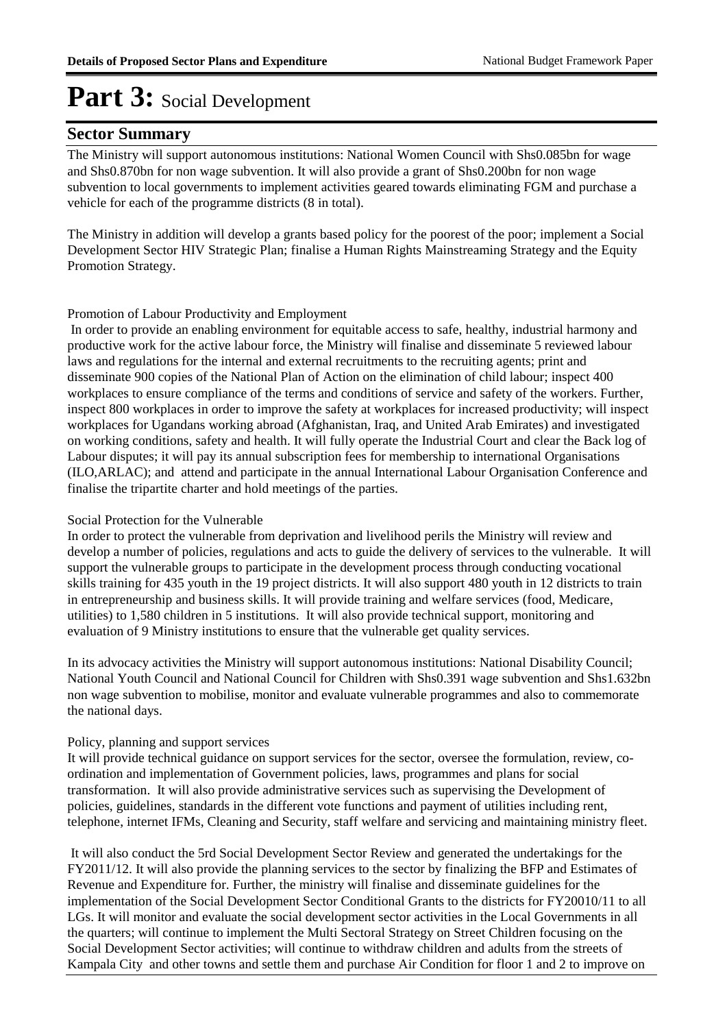### **Sector Summary**

The Ministry will support autonomous institutions: National Women Council with Shs0.085bn for wage and Shs0.870bn for non wage subvention. It will also provide a grant of Shs0.200bn for non wage subvention to local governments to implement activities geared towards eliminating FGM and purchase a vehicle for each of the programme districts (8 in total).

The Ministry in addition will develop a grants based policy for the poorest of the poor; implement a Social Development Sector HIV Strategic Plan; finalise a Human Rights Mainstreaming Strategy and the Equity Promotion Strategy.

#### Promotion of Labour Productivity and Employment

 In order to provide an enabling environment for equitable access to safe, healthy, industrial harmony and productive work for the active labour force, the Ministry will finalise and disseminate 5 reviewed labour laws and regulations for the internal and external recruitments to the recruiting agents; print and disseminate 900 copies of the National Plan of Action on the elimination of child labour; inspect 400 workplaces to ensure compliance of the terms and conditions of service and safety of the workers. Further, inspect 800 workplaces in order to improve the safety at workplaces for increased productivity; will inspect workplaces for Ugandans working abroad (Afghanistan, Iraq, and United Arab Emirates) and investigated on working conditions, safety and health. It will fully operate the Industrial Court and clear the Back log of Labour disputes; it will pay its annual subscription fees for membership to international Organisations (ILO,ARLAC); and attend and participate in the annual International Labour Organisation Conference and finalise the tripartite charter and hold meetings of the parties.

### Social Protection for the Vulnerable

In order to protect the vulnerable from deprivation and livelihood perils the Ministry will review and develop a number of policies, regulations and acts to guide the delivery of services to the vulnerable. It will support the vulnerable groups to participate in the development process through conducting vocational skills training for 435 youth in the 19 project districts. It will also support 480 youth in 12 districts to train in entrepreneurship and business skills. It will provide training and welfare services (food, Medicare, utilities) to 1,580 children in 5 institutions. It will also provide technical support, monitoring and evaluation of 9 Ministry institutions to ensure that the vulnerable get quality services.

In its advocacy activities the Ministry will support autonomous institutions: National Disability Council; National Youth Council and National Council for Children with Shs0.391 wage subvention and Shs1.632bn non wage subvention to mobilise, monitor and evaluate vulnerable programmes and also to commemorate the national days.

### Policy, planning and support services

It will provide technical guidance on support services for the sector, oversee the formulation, review, coordination and implementation of Government policies, laws, programmes and plans for social transformation. It will also provide administrative services such as supervising the Development of policies, guidelines, standards in the different vote functions and payment of utilities including rent, telephone, internet IFMs, Cleaning and Security, staff welfare and servicing and maintaining ministry fleet.

 It will also conduct the 5rd Social Development Sector Review and generated the undertakings for the FY2011/12. It will also provide the planning services to the sector by finalizing the BFP and Estimates of Revenue and Expenditure for. Further, the ministry will finalise and disseminate guidelines for the implementation of the Social Development Sector Conditional Grants to the districts for FY20010/11 to all LGs. It will monitor and evaluate the social development sector activities in the Local Governments in all the quarters; will continue to implement the Multi Sectoral Strategy on Street Children focusing on the Social Development Sector activities; will continue to withdraw children and adults from the streets of Kampala City and other towns and settle them and purchase Air Condition for floor 1 and 2 to improve on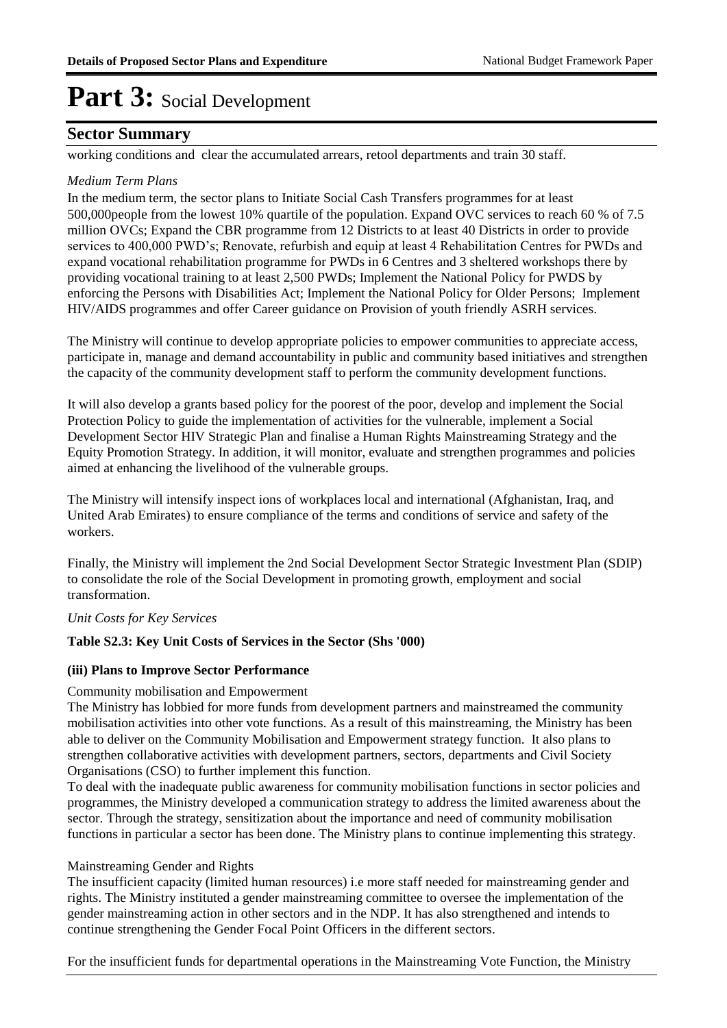### **Sector Summary**

working conditions and clear the accumulated arrears, retool departments and train 30 staff.

### *Medium Term Plans*

In the medium term, the sector plans to Initiate Social Cash Transfers programmes for at least 500,000people from the lowest 10% quartile of the population. Expand OVC services to reach 60 % of 7.5 million OVCs; Expand the CBR programme from 12 Districts to at least 40 Districts in order to provide services to 400,000 PWD's; Renovate, refurbish and equip at least 4 Rehabilitation Centres for PWDs and expand vocational rehabilitation programme for PWDs in 6 Centres and 3 sheltered workshops there by providing vocational training to at least 2,500 PWDs; Implement the National Policy for PWDS by enforcing the Persons with Disabilities Act; Implement the National Policy for Older Persons; Implement HIV/AIDS programmes and offer Career guidance on Provision of youth friendly ASRH services.

The Ministry will continue to develop appropriate policies to empower communities to appreciate access, participate in, manage and demand accountability in public and community based initiatives and strengthen the capacity of the community development staff to perform the community development functions.

It will also develop a grants based policy for the poorest of the poor, develop and implement the Social Protection Policy to guide the implementation of activities for the vulnerable, implement a Social Development Sector HIV Strategic Plan and finalise a Human Rights Mainstreaming Strategy and the Equity Promotion Strategy. In addition, it will monitor, evaluate and strengthen programmes and policies aimed at enhancing the livelihood of the vulnerable groups.

The Ministry will intensify inspect ions of workplaces local and international (Afghanistan, Iraq, and United Arab Emirates) to ensure compliance of the terms and conditions of service and safety of the workers.

Finally, the Ministry will implement the 2nd Social Development Sector Strategic Investment Plan (SDIP) to consolidate the role of the Social Development in promoting growth, employment and social transformation.

#### *Unit Costs for Key Services*

#### **Table S2.3: Key Unit Costs of Services in the Sector (Shs '000)**

#### **(iii) Plans to Improve Sector Performance**

#### Community mobilisation and Empowerment

The Ministry has lobbied for more funds from development partners and mainstreamed the community mobilisation activities into other vote functions. As a result of this mainstreaming, the Ministry has been able to deliver on the Community Mobilisation and Empowerment strategy function. It also plans to strengthen collaborative activities with development partners, sectors, departments and Civil Society Organisations (CSO) to further implement this function.

To deal with the inadequate public awareness for community mobilisation functions in sector policies and programmes, the Ministry developed a communication strategy to address the limited awareness about the sector. Through the strategy, sensitization about the importance and need of community mobilisation functions in particular a sector has been done. The Ministry plans to continue implementing this strategy.

#### Mainstreaming Gender and Rights

The insufficient capacity (limited human resources) i.e more staff needed for mainstreaming gender and rights. The Ministry instituted a gender mainstreaming committee to oversee the implementation of the gender mainstreaming action in other sectors and in the NDP. It has also strengthened and intends to continue strengthening the Gender Focal Point Officers in the different sectors.

For the insufficient funds for departmental operations in the Mainstreaming Vote Function, the Ministry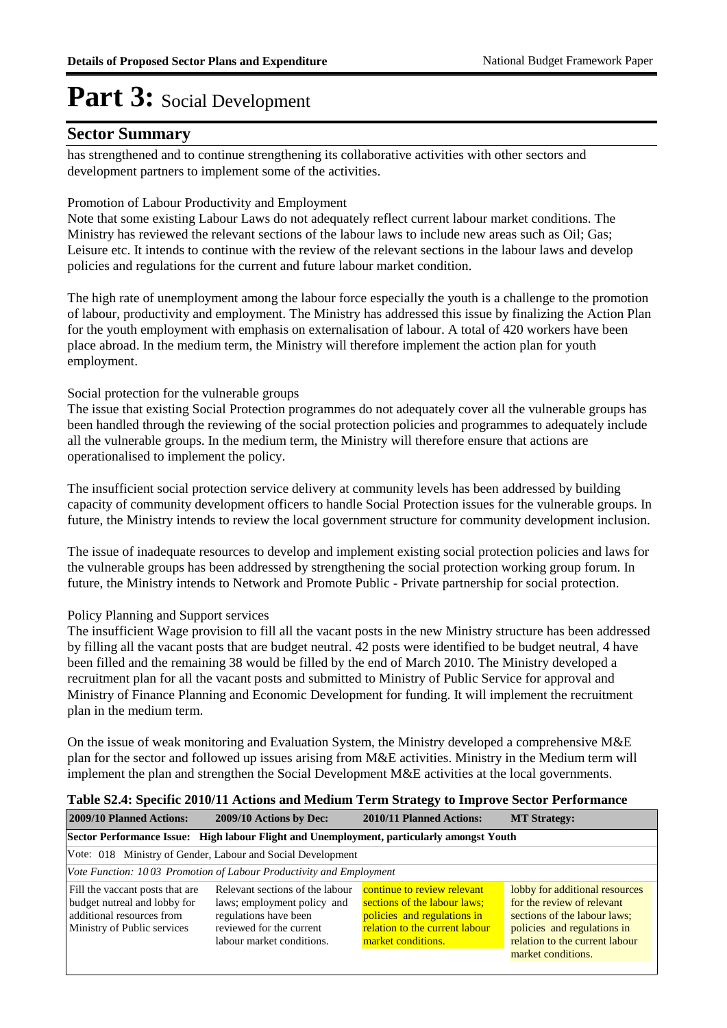### **Sector Summary**

has strengthened and to continue strengthening its collaborative activities with other sectors and development partners to implement some of the activities.

### Promotion of Labour Productivity and Employment

Note that some existing Labour Laws do not adequately reflect current labour market conditions. The Ministry has reviewed the relevant sections of the labour laws to include new areas such as Oil; Gas; Leisure etc. It intends to continue with the review of the relevant sections in the labour laws and develop policies and regulations for the current and future labour market condition.

The high rate of unemployment among the labour force especially the youth is a challenge to the promotion of labour, productivity and employment. The Ministry has addressed this issue by finalizing the Action Plan for the youth employment with emphasis on externalisation of labour. A total of 420 workers have been place abroad. In the medium term, the Ministry will therefore implement the action plan for youth employment.

### Social protection for the vulnerable groups

The issue that existing Social Protection programmes do not adequately cover all the vulnerable groups has been handled through the reviewing of the social protection policies and programmes to adequately include all the vulnerable groups. In the medium term, the Ministry will therefore ensure that actions are operationalised to implement the policy.

The insufficient social protection service delivery at community levels has been addressed by building capacity of community development officers to handle Social Protection issues for the vulnerable groups. In future, the Ministry intends to review the local government structure for community development inclusion.

The issue of inadequate resources to develop and implement existing social protection policies and laws for the vulnerable groups has been addressed by strengthening the social protection working group forum. In future, the Ministry intends to Network and Promote Public - Private partnership for social protection.

### Policy Planning and Support services

The insufficient Wage provision to fill all the vacant posts in the new Ministry structure has been addressed by filling all the vacant posts that are budget neutral. 42 posts were identified to be budget neutral, 4 have been filled and the remaining 38 would be filled by the end of March 2010. The Ministry developed a recruitment plan for all the vacant posts and submitted to Ministry of Public Service for approval and Ministry of Finance Planning and Economic Development for funding. It will implement the recruitment plan in the medium term.

On the issue of weak monitoring and Evaluation System, the Ministry developed a comprehensive M&E plan for the sector and followed up issues arising from M&E activities. Ministry in the Medium term will implement the plan and strengthen the Social Development M&E activities at the local governments.

### **Table S2.4: Specific 2010/11 Actions and Medium Term Strategy to Improve Sector Performance 2009/10 Planned Actions: 2009/10 Actions by Dec: 2010/11 Planned Actions: MT Strategy:**

| Sector Performance Issue: High labour Flight and Unemployment, particularly amongst Youth                                   |                                                                                                                                                  |                                                                                                                                                    |                                                                                                                                                                                     |  |  |  |
|-----------------------------------------------------------------------------------------------------------------------------|--------------------------------------------------------------------------------------------------------------------------------------------------|----------------------------------------------------------------------------------------------------------------------------------------------------|-------------------------------------------------------------------------------------------------------------------------------------------------------------------------------------|--|--|--|
| Vote: 018 Ministry of Gender, Labour and Social Development                                                                 |                                                                                                                                                  |                                                                                                                                                    |                                                                                                                                                                                     |  |  |  |
| Vote Function: 1003 Promotion of Labour Productivity and Employment                                                         |                                                                                                                                                  |                                                                                                                                                    |                                                                                                                                                                                     |  |  |  |
| Fill the vaccant posts that are<br>budget nutreal and lobby for<br>additional resources from<br>Ministry of Public services | Relevant sections of the labour<br>laws; employment policy and<br>regulations have been<br>reviewed for the current<br>labour market conditions. | continue to review relevant<br>sections of the labour laws;<br>policies and regulations in<br>relation to the current labour<br>market conditions. | lobby for additional resources<br>for the review of relevant<br>sections of the labour laws;<br>policies and regulations in<br>relation to the current labour<br>market conditions. |  |  |  |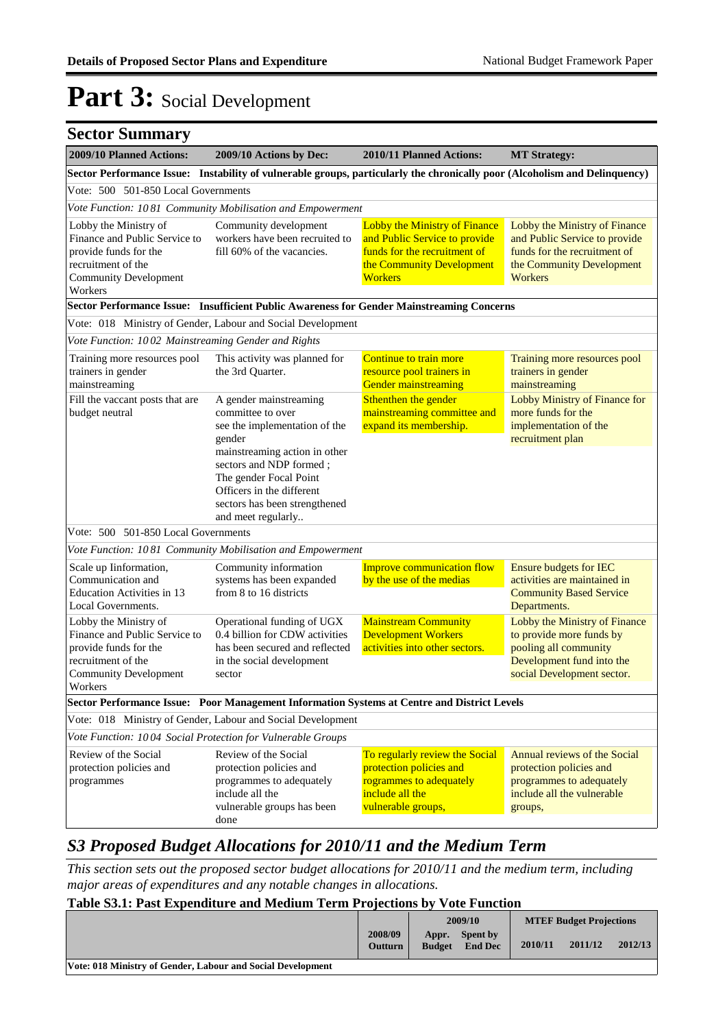| <b>Sector Summary</b>                                                                                                                            |                                                                                                                                                                        |                                                                                                                                                      |                                                                                                                                               |
|--------------------------------------------------------------------------------------------------------------------------------------------------|------------------------------------------------------------------------------------------------------------------------------------------------------------------------|------------------------------------------------------------------------------------------------------------------------------------------------------|-----------------------------------------------------------------------------------------------------------------------------------------------|
| 2009/10 Planned Actions:                                                                                                                         | 2009/10 Actions by Dec:                                                                                                                                                | 2010/11 Planned Actions:                                                                                                                             | <b>MT Strategy:</b>                                                                                                                           |
|                                                                                                                                                  | Sector Performance Issue: Instability of vulnerable groups, particularly the chronically poor (Alcoholism and Delinquency)                                             |                                                                                                                                                      |                                                                                                                                               |
| Vote: 500 501-850 Local Governments                                                                                                              |                                                                                                                                                                        |                                                                                                                                                      |                                                                                                                                               |
|                                                                                                                                                  | Vote Function: 1081 Community Mobilisation and Empowerment                                                                                                             |                                                                                                                                                      |                                                                                                                                               |
| Lobby the Ministry of<br>Finance and Public Service to<br>provide funds for the<br>recruitment of the<br><b>Community Development</b><br>Workers | Community development<br>workers have been recruited to<br>fill 60% of the vacancies.                                                                                  | <b>Lobby the Ministry of Finance</b><br>and Public Service to provide<br>funds for the recruitment of<br>the Community Development<br><b>Workers</b> | Lobby the Ministry of Finance<br>and Public Service to provide<br>funds for the recruitment of<br>the Community Development<br>Workers        |
|                                                                                                                                                  | Sector Performance Issue: Insufficient Public Awareness for Gender Mainstreaming Concerns                                                                              |                                                                                                                                                      |                                                                                                                                               |
|                                                                                                                                                  | Vote: 018 Ministry of Gender, Labour and Social Development                                                                                                            |                                                                                                                                                      |                                                                                                                                               |
| Vote Function: 1002 Mainstreaming Gender and Rights                                                                                              |                                                                                                                                                                        |                                                                                                                                                      |                                                                                                                                               |
| Training more resources pool<br>trainers in gender<br>mainstreaming                                                                              | This activity was planned for<br>the 3rd Quarter.                                                                                                                      | Continue to train more<br>resource pool trainers in<br><b>Gender mainstreaming</b>                                                                   | Training more resources pool<br>trainers in gender<br>mainstreaming                                                                           |
| Fill the vaccant posts that are<br>budget neutral                                                                                                | A gender mainstreaming<br>committee to over<br>see the implementation of the<br>gender                                                                                 | Sthenthen the gender<br>mainstreaming committee and<br>expand its membership.                                                                        | Lobby Ministry of Finance for<br>more funds for the<br>implementation of the<br>recruitment plan                                              |
|                                                                                                                                                  | mainstreaming action in other<br>sectors and NDP formed;<br>The gender Focal Point<br>Officers in the different<br>sectors has been strengthened<br>and meet regularly |                                                                                                                                                      |                                                                                                                                               |
| Vote: 500 501-850 Local Governments                                                                                                              |                                                                                                                                                                        |                                                                                                                                                      |                                                                                                                                               |
|                                                                                                                                                  | Vote Function: 1081 Community Mobilisation and Empowerment                                                                                                             |                                                                                                                                                      |                                                                                                                                               |
| Scale up Iinformation,<br>Communication and<br><b>Education Activities in 13</b><br>Local Governments.                                           | Community information<br>systems has been expanded<br>from 8 to 16 districts                                                                                           | <b>Improve communication flow</b><br>by the use of the medias                                                                                        | Ensure budgets for IEC<br>activities are maintained in<br><b>Community Based Service</b><br>Departments.                                      |
| Lobby the Ministry of<br>Finance and Public Service to<br>provide funds for the<br>recruitment of the<br><b>Community Development</b><br>Workers | Operational funding of UGX<br>0.4 billion for CDW activities<br>has been secured and reflected<br>in the social development<br>sector                                  | <b>Mainstream Community</b><br><b>Development Workers</b><br>activities into other sectors.                                                          | Lobby the Ministry of Finance<br>to provide more funds by<br>pooling all community<br>Development fund into the<br>social Development sector. |
|                                                                                                                                                  | Sector Performance Issue: Poor Management Information Systems at Centre and District Levels                                                                            |                                                                                                                                                      |                                                                                                                                               |
|                                                                                                                                                  | Vote: 018 Ministry of Gender, Labour and Social Development                                                                                                            |                                                                                                                                                      |                                                                                                                                               |
| Vote Function: 1004 Social Protection for Vulnerable Groups                                                                                      |                                                                                                                                                                        |                                                                                                                                                      |                                                                                                                                               |
| Review of the Social<br>protection policies and                                                                                                  | Review of the Social<br>protection policies and                                                                                                                        | To regularly review the Social<br>protection policies and                                                                                            | Annual reviews of the Social<br>protection policies and                                                                                       |
| programmes                                                                                                                                       | programmes to adequately<br>include all the<br>vulnerable groups has been<br>done                                                                                      | rogrammes to adequately<br>include all the<br>vulnerable groups,                                                                                     | programmes to adequately<br>include all the vulnerable<br>groups,                                                                             |

### *S3 Proposed Budget Allocations for 2010/11 and the Medium Term*

*This section sets out the proposed sector budget allocations for 2010/11 and the medium term, including major areas of expenditures and any notable changes in allocations.* 

### **Table S3.1: Past Expenditure and Medium Term Projections by Vote Function**

|                                                             |                           | 2009/10                |                            | <b>MTEF Budget Projections</b> |         |         |
|-------------------------------------------------------------|---------------------------|------------------------|----------------------------|--------------------------------|---------|---------|
|                                                             | 2008/09<br><b>Outturn</b> | Appr.<br><b>Budget</b> | Spent by<br><b>End Dec</b> | 2010/11                        | 2011/12 | 2012/13 |
| Vote: 018 Ministry of Gender, Labour and Social Development |                           |                        |                            |                                |         |         |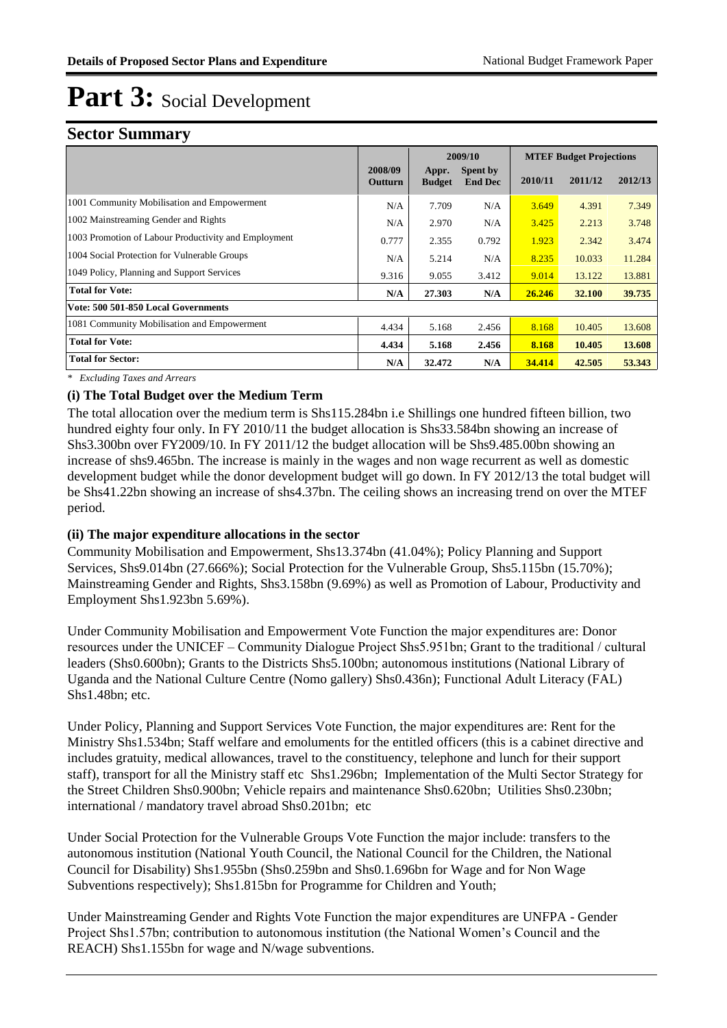### **Sector Summary**

|                                                      |                    |                        | 2009/10                    | <b>MTEF Budget Projections</b> |         |         |
|------------------------------------------------------|--------------------|------------------------|----------------------------|--------------------------------|---------|---------|
|                                                      | 2008/09<br>Outturn | Appr.<br><b>Budget</b> | Spent by<br><b>End Dec</b> | 2010/11                        | 2011/12 | 2012/13 |
| 1001 Community Mobilisation and Empowerment          | N/A                | 7.709                  | N/A                        | 3.649                          | 4.391   | 7.349   |
| 1002 Mainstreaming Gender and Rights                 | N/A                | 2.970                  | N/A                        | 3.425                          | 2.213   | 3.748   |
| 1003 Promotion of Labour Productivity and Employment | 0.777              | 2.355                  | 0.792                      | 1.923                          | 2.342   | 3.474   |
| 1004 Social Protection for Vulnerable Groups         | N/A                | 5.214                  | N/A                        | 8.235                          | 10.033  | 11.284  |
| 1049 Policy, Planning and Support Services           | 9.316              | 9.055                  | 3.412                      | 9.014                          | 13.122  | 13.881  |
| <b>Total for Vote:</b>                               | N/A                | 27.303                 | N/A                        | 26.246                         | 32.100  | 39.735  |
| Vote: 500 501-850 Local Governments                  |                    |                        |                            |                                |         |         |
| 1081 Community Mobilisation and Empowerment          | 4.434              | 5.168                  | 2.456                      | 8.168                          | 10.405  | 13.608  |
| <b>Total for Vote:</b>                               | 4.434              | 5.168                  | 2.456                      | 8.168                          | 10.405  | 13.608  |
| <b>Total for Sector:</b>                             | N/A                | 32.472                 | N/A                        | 34.414                         | 42.505  | 53.343  |

*\* Excluding Taxes and Arrears*

### **(i) The Total Budget over the Medium Term**

The total allocation over the medium term is Shs115.284bn i.e Shillings one hundred fifteen billion, two hundred eighty four only. In FY 2010/11 the budget allocation is Shs33.584bn showing an increase of Shs3.300bn over FY2009/10. In FY 2011/12 the budget allocation will be Shs9.485.00bn showing an increase of shs9.465bn. The increase is mainly in the wages and non wage recurrent as well as domestic development budget while the donor development budget will go down. In FY 2012/13 the total budget will be Shs41.22bn showing an increase of shs4.37bn. The ceiling shows an increasing trend on over the MTEF period.

### **(ii) The major expenditure allocations in the sector**

Community Mobilisation and Empowerment, Shs13.374bn (41.04%); Policy Planning and Support Services, Shs9.014bn (27.666%); Social Protection for the Vulnerable Group, Shs5.115bn (15.70%); Mainstreaming Gender and Rights, Shs3.158bn (9.69%) as well as Promotion of Labour, Productivity and Employment Shs1.923bn 5.69%).

Under Community Mobilisation and Empowerment Vote Function the major expenditures are: Donor resources under the UNICEF – Community Dialogue Project Shs5.951bn; Grant to the traditional / cultural leaders (Shs0.600bn); Grants to the Districts Shs5.100bn; autonomous institutions (National Library of Uganda and the National Culture Centre (Nomo gallery) Shs0.436n); Functional Adult Literacy (FAL) Shs1.48bn; etc.

Under Policy, Planning and Support Services Vote Function, the major expenditures are: Rent for the Ministry Shs1.534bn; Staff welfare and emoluments for the entitled officers (this is a cabinet directive and includes gratuity, medical allowances, travel to the constituency, telephone and lunch for their support staff), transport for all the Ministry staff etc Shs1.296bn; Implementation of the Multi Sector Strategy for the Street Children Shs0.900bn; Vehicle repairs and maintenance Shs0.620bn; Utilities Shs0.230bn; international / mandatory travel abroad Shs0.201bn; etc

Under Social Protection for the Vulnerable Groups Vote Function the major include: transfers to the autonomous institution (National Youth Council, the National Council for the Children, the National Council for Disability) Shs1.955bn (Shs0.259bn and Shs0.1.696bn for Wage and for Non Wage Subventions respectively); Shs1.815bn for Programme for Children and Youth;

Under Mainstreaming Gender and Rights Vote Function the major expenditures are UNFPA - Gender Project Shs1.57bn; contribution to autonomous institution (the National Women's Council and the REACH) Shs1.155bn for wage and N/wage subventions.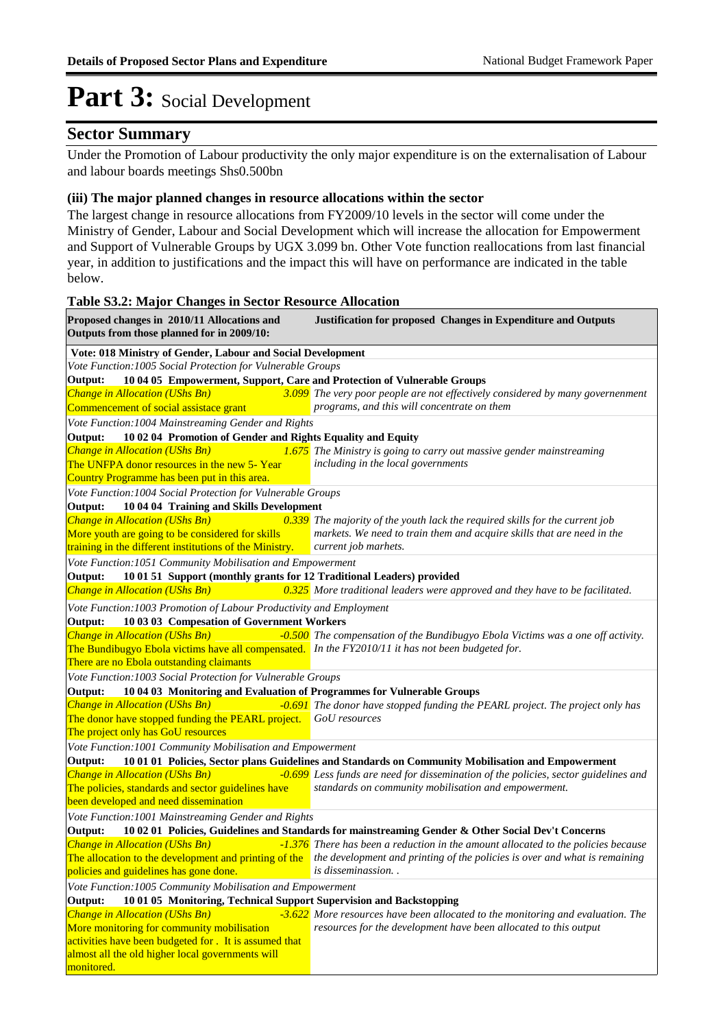### **Sector Summary**

Under the Promotion of Labour productivity the only major expenditure is on the externalisation of Labour and labour boards meetings Shs0.500bn

#### **(iii) The major planned changes in resource allocations within the sector**

The largest change in resource allocations from FY2009/10 levels in the sector will come under the Ministry of Gender, Labour and Social Development which will increase the allocation for Empowerment and Support of Vulnerable Groups by UGX 3.099 bn. Other Vote function reallocations from last financial year, in addition to justifications and the impact this will have on performance are indicated in the table below.

#### **Table S3.2: Major Changes in Sector Resource Allocation**

| Proposed changes in 2010/11 Allocations and<br>Outputs from those planned for in 2009/10:                                                        | <b>Justification for proposed Changes in Expenditure and Outputs</b>                                                                                  |
|--------------------------------------------------------------------------------------------------------------------------------------------------|-------------------------------------------------------------------------------------------------------------------------------------------------------|
| Vote: 018 Ministry of Gender, Labour and Social Development                                                                                      |                                                                                                                                                       |
| Vote Function: 1005 Social Protection for Vulnerable Groups                                                                                      |                                                                                                                                                       |
| Output:<br>10 04 05 Empowerment, Support, Care and Protection of Vulnerable Groups                                                               |                                                                                                                                                       |
| Change in Allocation (UShs Bn)                                                                                                                   | 3.099 The very poor people are not effectively considered by many governenment                                                                        |
| Commencement of social assistace grant                                                                                                           | programs, and this will concentrate on them                                                                                                           |
| Vote Function: 1004 Mainstreaming Gender and Rights                                                                                              |                                                                                                                                                       |
| 10 02 04 Promotion of Gender and Rights Equality and Equity<br>Output:<br><b>Change in Allocation (UShs Bn)</b>                                  | <b>1.675</b> The Ministry is going to carry out massive gender mainstreaming                                                                          |
| The UNFPA donor resources in the new 5- Year                                                                                                     | including in the local governments                                                                                                                    |
| Country Programme has been put in this area.                                                                                                     |                                                                                                                                                       |
| Vote Function: 1004 Social Protection for Vulnerable Groups                                                                                      |                                                                                                                                                       |
| 10 04 04 Training and Skills Development<br>Output:                                                                                              |                                                                                                                                                       |
| <b>Change in Allocation (UShs Bn)</b>                                                                                                            | $\sqrt{0.339}$ The majority of the youth lack the required skills for the current job                                                                 |
| More youth are going to be considered for skills                                                                                                 | markets. We need to train them and acquire skills that are need in the                                                                                |
| training in the different institutions of the Ministry.                                                                                          | current job marhets.                                                                                                                                  |
| Vote Function: 1051 Community Mobilisation and Empowerment                                                                                       |                                                                                                                                                       |
| 10 01 51 Support (monthly grants for 12 Traditional Leaders) provided<br>Output:                                                                 |                                                                                                                                                       |
| <b>Change in Allocation (UShs Bn)</b>                                                                                                            | $0.325$ More traditional leaders were approved and they have to be facilitated.                                                                       |
| Vote Function: 1003 Promotion of Labour Productivity and Employment                                                                              |                                                                                                                                                       |
| 10 03 03 Compesation of Government Workers<br>Output:                                                                                            |                                                                                                                                                       |
| <b>Change in Allocation (UShs Bn)</b>                                                                                                            | -0.500 The compensation of the Bundibugyo Ebola Victims was a one off activity.                                                                       |
| The Bundibugyo Ebola victims have all compensated. In the FY2010/11 it has not been budgeted for.                                                |                                                                                                                                                       |
| There are no Ebola outstanding claimants                                                                                                         |                                                                                                                                                       |
| Vote Function: 1003 Social Protection for Vulnerable Groups<br>10 04 03 Monitoring and Evaluation of Programmes for Vulnerable Groups<br>Output: |                                                                                                                                                       |
| <b>Change in Allocation (UShs Bn)</b>                                                                                                            | -0.691 The donor have stopped funding the PEARL project. The project only has                                                                         |
| The donor have stopped funding the PEARL project.                                                                                                | GoU resources                                                                                                                                         |
| The project only has GoU resources                                                                                                               |                                                                                                                                                       |
| Vote Function: 1001 Community Mobilisation and Empowerment                                                                                       |                                                                                                                                                       |
| Output:                                                                                                                                          | 10 01 01 Policies, Sector plans Guidelines and Standards on Community Mobilisation and Empowerment                                                    |
| <b>Change in Allocation (UShs Bn)</b>                                                                                                            | -0.699 Less funds are need for dissemination of the policies, sector guidelines and                                                                   |
| The policies, standards and sector guidelines have                                                                                               | standards on community mobilisation and empowerment.                                                                                                  |
| been developed and need dissemination                                                                                                            |                                                                                                                                                       |
| Vote Function: 1001 Mainstreaming Gender and Rights                                                                                              |                                                                                                                                                       |
| Output:                                                                                                                                          | 10 02 01 Policies, Guidelines and Standards for mainstreaming Gender & Other Social Dev't Concerns                                                    |
| <b>Change in Allocation (UShs Bn)</b>                                                                                                            | -1.376 There has been a reduction in the amount allocated to the policies because                                                                     |
| policies and guidelines has gone done.                                                                                                           | The allocation to the development and printing of the the development and printing of the policies is over and what is remaining<br>is disseminassion |
| Vote Function: 1005 Community Mobilisation and Empowerment                                                                                       |                                                                                                                                                       |
| 10 01 05 Monitoring, Technical Support Supervision and Backstopping<br>Output:                                                                   |                                                                                                                                                       |
| <b>Change in Allocation (UShs Bn)</b>                                                                                                            | -3.622 More resources have been allocated to the monitoring and evaluation. The                                                                       |
| More monitoring for community mobilisation                                                                                                       | resources for the development have been allocated to this output                                                                                      |
| activities have been budgeted for . It is assumed that                                                                                           |                                                                                                                                                       |
| almost all the old higher local governments will                                                                                                 |                                                                                                                                                       |
| monitored.                                                                                                                                       |                                                                                                                                                       |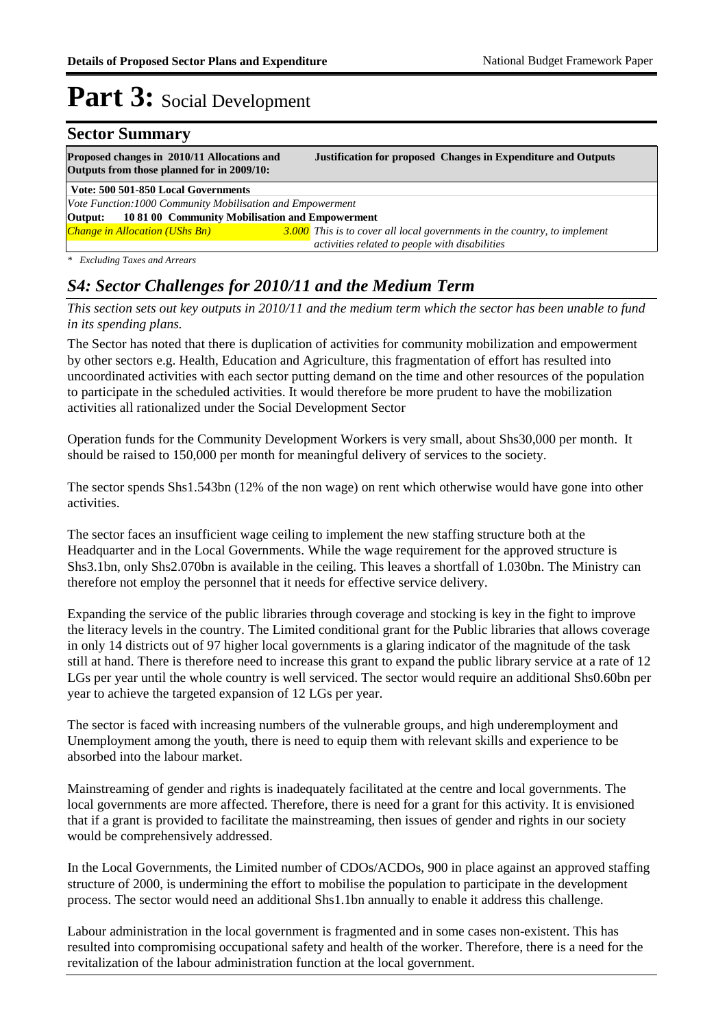### **Sector Summary Proposed changes in 2010/11 Allocations and Justification for proposed Changes in Expenditure and Outputs Outputs from those planned for in 2009/10: Vote: 500 501-850 Local Governments** *Change in Allocation (UShs Bn) 3.000 This is to cover all local governments in the country, to implement activities related to people with disabilities* **Output: 10 81 00 Community Mobilisation and Empowerment** *Vote Function:1000 Community Mobilisation and Empowerment*

*\* Excluding Taxes and Arrears*

### *S4: Sector Challenges for 2010/11 and the Medium Term*

*This section sets out key outputs in 2010/11 and the medium term which the sector has been unable to fund in its spending plans.*

The Sector has noted that there is duplication of activities for community mobilization and empowerment by other sectors e.g. Health, Education and Agriculture, this fragmentation of effort has resulted into uncoordinated activities with each sector putting demand on the time and other resources of the population to participate in the scheduled activities. It would therefore be more prudent to have the mobilization activities all rationalized under the Social Development Sector

Operation funds for the Community Development Workers is very small, about Shs30,000 per month. It should be raised to 150,000 per month for meaningful delivery of services to the society.

The sector spends Shs1.543bn (12% of the non wage) on rent which otherwise would have gone into other activities.

The sector faces an insufficient wage ceiling to implement the new staffing structure both at the Headquarter and in the Local Governments. While the wage requirement for the approved structure is Shs3.1bn, only Shs2.070bn is available in the ceiling. This leaves a shortfall of 1.030bn. The Ministry can therefore not employ the personnel that it needs for effective service delivery.

Expanding the service of the public libraries through coverage and stocking is key in the fight to improve the literacy levels in the country. The Limited conditional grant for the Public libraries that allows coverage in only 14 districts out of 97 higher local governments is a glaring indicator of the magnitude of the task still at hand. There is therefore need to increase this grant to expand the public library service at a rate of 12 LGs per year until the whole country is well serviced. The sector would require an additional Shs0.60bn per year to achieve the targeted expansion of 12 LGs per year.

The sector is faced with increasing numbers of the vulnerable groups, and high underemployment and Unemployment among the youth, there is need to equip them with relevant skills and experience to be absorbed into the labour market.

Mainstreaming of gender and rights is inadequately facilitated at the centre and local governments. The local governments are more affected. Therefore, there is need for a grant for this activity. It is envisioned that if a grant is provided to facilitate the mainstreaming, then issues of gender and rights in our society would be comprehensively addressed.

In the Local Governments, the Limited number of CDOs/ACDOs, 900 in place against an approved staffing structure of 2000, is undermining the effort to mobilise the population to participate in the development process. The sector would need an additional Shs1.1bn annually to enable it address this challenge.

Labour administration in the local government is fragmented and in some cases non-existent. This has resulted into compromising occupational safety and health of the worker. Therefore, there is a need for the revitalization of the labour administration function at the local government.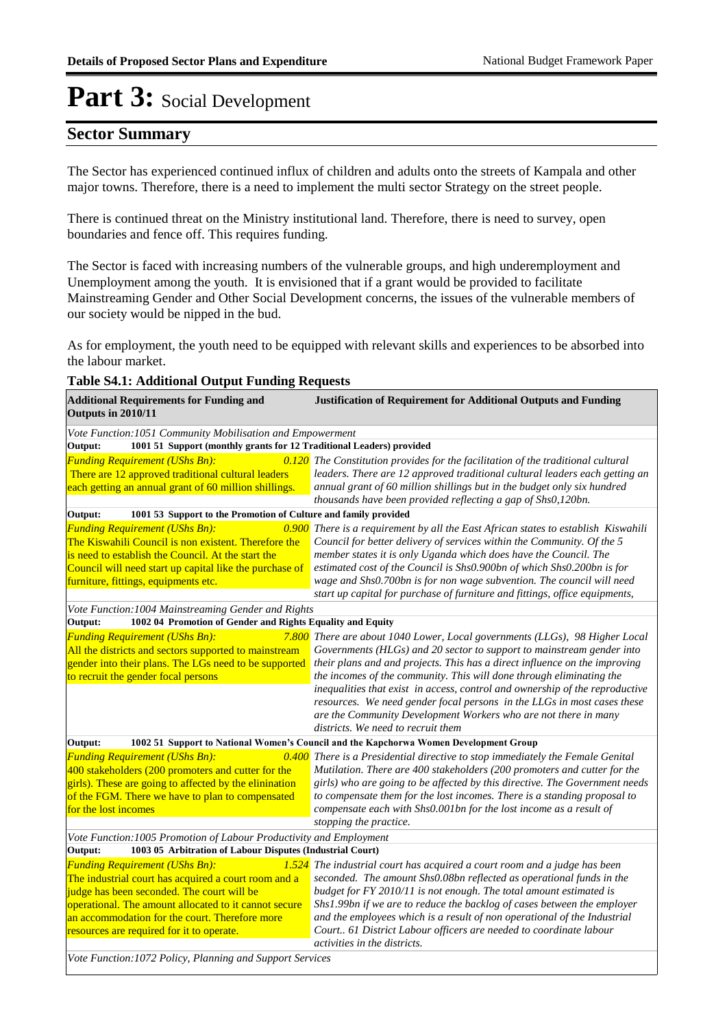### **Sector Summary**

The Sector has experienced continued influx of children and adults onto the streets of Kampala and other major towns. Therefore, there is a need to implement the multi sector Strategy on the street people.

There is continued threat on the Ministry institutional land. Therefore, there is need to survey, open boundaries and fence off. This requires funding.

The Sector is faced with increasing numbers of the vulnerable groups, and high underemployment and Unemployment among the youth. It is envisioned that if a grant would be provided to facilitate Mainstreaming Gender and Other Social Development concerns, the issues of the vulnerable members of our society would be nipped in the bud.

As for employment, the youth need to be equipped with relevant skills and experiences to be absorbed into the labour market.

### **Table S4.1: Additional Output Funding Requests**

| <b>Additional Requirements for Funding and</b><br>Outputs in 2010/11            | <b>Justification of Requirement for Additional Outputs and Funding</b>                |  |  |  |  |  |  |  |
|---------------------------------------------------------------------------------|---------------------------------------------------------------------------------------|--|--|--|--|--|--|--|
| Vote Function: 1051 Community Mobilisation and Empowerment                      |                                                                                       |  |  |  |  |  |  |  |
| 1001 51 Support (monthly grants for 12 Traditional Leaders) provided<br>Output: |                                                                                       |  |  |  |  |  |  |  |
| <b>Funding Requirement (UShs Bn):</b>                                           | 0.120 The Constitution provides for the facilitation of the traditional cultural      |  |  |  |  |  |  |  |
| There are 12 approved traditional cultural leaders                              | leaders. There are 12 approved traditional cultural leaders each getting an           |  |  |  |  |  |  |  |
| each getting an annual grant of 60 million shillings.                           | annual grant of 60 million shillings but in the budget only six hundred               |  |  |  |  |  |  |  |
|                                                                                 | thousands have been provided reflecting a gap of Shs0,120bn.                          |  |  |  |  |  |  |  |
| Output:<br>1001 53 Support to the Promotion of Culture and family provided      |                                                                                       |  |  |  |  |  |  |  |
| <b>Funding Requirement (UShs Bn):</b>                                           | 0.900 There is a requirement by all the East African states to establish Kiswahili    |  |  |  |  |  |  |  |
| The Kiswahili Council is non existent. Therefore the                            | Council for better delivery of services within the Community. Of the 5                |  |  |  |  |  |  |  |
| is need to establish the Council. At the start the                              | member states it is only Uganda which does have the Council. The                      |  |  |  |  |  |  |  |
| Council will need start up capital like the purchase of                         | estimated cost of the Council is Shs0.900bn of which Shs0.200bn is for                |  |  |  |  |  |  |  |
| furniture, fittings, equipments etc.                                            | wage and Shs0.700bn is for non wage subvention. The council will need                 |  |  |  |  |  |  |  |
|                                                                                 | start up capital for purchase of furniture and fittings, office equipments,           |  |  |  |  |  |  |  |
| Vote Function: 1004 Mainstreaming Gender and Rights                             |                                                                                       |  |  |  |  |  |  |  |
| Output:<br>1002 04 Promotion of Gender and Rights Equality and Equity           |                                                                                       |  |  |  |  |  |  |  |
| <b>Funding Requirement (UShs Bn):</b>                                           | 7.800 There are about 1040 Lower, Local governments (LLGs), 98 Higher Local           |  |  |  |  |  |  |  |
| All the districts and sectors supported to mainstream                           | Governments (HLGs) and 20 sector to support to mainstream gender into                 |  |  |  |  |  |  |  |
| gender into their plans. The LGs need to be supported                           | their plans and and projects. This has a direct influence on the improving            |  |  |  |  |  |  |  |
| to recruit the gender focal persons                                             | the incomes of the community. This will done through eliminating the                  |  |  |  |  |  |  |  |
|                                                                                 | inequalities that exist in access, control and ownership of the reproductive          |  |  |  |  |  |  |  |
|                                                                                 | resources. We need gender focal persons in the LLGs in most cases these               |  |  |  |  |  |  |  |
|                                                                                 | are the Community Development Workers who are not there in many                       |  |  |  |  |  |  |  |
|                                                                                 | districts. We need to recruit them                                                    |  |  |  |  |  |  |  |
| Output:                                                                         | 1002 51 Support to National Women's Council and the Kapchorwa Women Development Group |  |  |  |  |  |  |  |
| <b>Funding Requirement (UShs Bn):</b>                                           | 0.400 There is a Presidential directive to stop immediately the Female Genital        |  |  |  |  |  |  |  |
| 400 stakeholders (200 promoters and cutter for the                              | Mutilation. There are 400 stakeholders (200 promoters and cutter for the              |  |  |  |  |  |  |  |
| girls). These are going to affected by the elinination                          | girls) who are going to be affected by this directive. The Government needs           |  |  |  |  |  |  |  |
| of the FGM. There we have to plan to compensated                                | to compensate them for the lost incomes. There is a standing proposal to              |  |  |  |  |  |  |  |
| for the lost incomes                                                            | compensate each with Shs0.001bn for the lost income as a result of                    |  |  |  |  |  |  |  |
|                                                                                 | stopping the practice.                                                                |  |  |  |  |  |  |  |
| Vote Function: 1005 Promotion of Labour Productivity and Employment             |                                                                                       |  |  |  |  |  |  |  |
| Output:<br>1003 05 Arbitration of Labour Disputes (Industrial Court)            |                                                                                       |  |  |  |  |  |  |  |
| <b>Funding Requirement (UShs Bn):</b>                                           | $1.524$ The industrial court has acquired a court room and a judge has been           |  |  |  |  |  |  |  |
| The industrial court has acquired a court room and a                            | seconded. The amount Shs0.08bn reflected as operational funds in the                  |  |  |  |  |  |  |  |
| judge has been seconded. The court will be                                      | budget for FY 2010/11 is not enough. The total amount estimated is                    |  |  |  |  |  |  |  |
| operational. The amount allocated to it cannot secure                           | Shs1.99bn if we are to reduce the backlog of cases between the employer               |  |  |  |  |  |  |  |
| an accommodation for the court. Therefore more                                  | and the employees which is a result of non operational of the Industrial              |  |  |  |  |  |  |  |
| resources are required for it to operate.                                       | Court 61 District Labour officers are needed to coordinate labour                     |  |  |  |  |  |  |  |
|                                                                                 | activities in the districts.                                                          |  |  |  |  |  |  |  |
| Vote Function: 1072 Policy, Planning and Support Services                       |                                                                                       |  |  |  |  |  |  |  |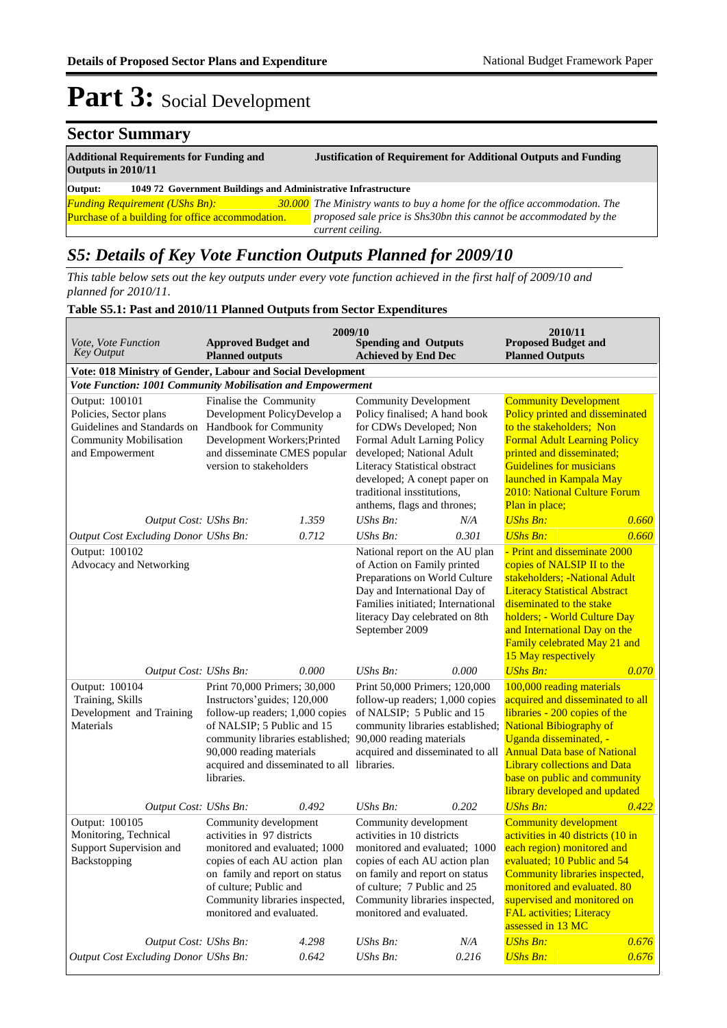#### **Sector Summary Additional Requirements for Funding and Justification of Requirement for Additional Outputs and Funding Outputs in 2010/11 Output: 1049 72 Government Buildings and Administrative Infrastructure Funding Requirement (UShs Bn):** Purchase of a building for office accommodation. *The Ministry wants to buy a home for the office accommodation. The proposed sale price is Shs30bn this cannot be accommodated by the current ceiling.*

### *S5: Details of Key Vote Function Outputs Planned for 2009/10*

*This table below sets out the key outputs under every vote function achieved in the first half of 2009/10 and planned for 2010/11.*

#### **Table S5.1: Past and 2010/11 Planned Outputs from Sector Expenditures**

| Vote, Vote Function<br><b>Key Output</b>                                                                                    | <b>Approved Budget and</b><br><b>Planned outputs</b>                                                                                                                                                                                                       | 2009/10 | <b>Spending and Outputs</b><br><b>Achieved by End Dec</b>                                                                                                                                                                                                                          |       | 2010/11<br><b>Proposed Budget and</b><br><b>Planned Outputs</b>                                                                                                                                                                                                                                                                                                      |       |  |  |  |  |
|-----------------------------------------------------------------------------------------------------------------------------|------------------------------------------------------------------------------------------------------------------------------------------------------------------------------------------------------------------------------------------------------------|---------|------------------------------------------------------------------------------------------------------------------------------------------------------------------------------------------------------------------------------------------------------------------------------------|-------|----------------------------------------------------------------------------------------------------------------------------------------------------------------------------------------------------------------------------------------------------------------------------------------------------------------------------------------------------------------------|-------|--|--|--|--|
| Vote: 018 Ministry of Gender, Labour and Social Development                                                                 |                                                                                                                                                                                                                                                            |         |                                                                                                                                                                                                                                                                                    |       |                                                                                                                                                                                                                                                                                                                                                                      |       |  |  |  |  |
|                                                                                                                             | Vote Function: 1001 Community Mobilisation and Empowerment                                                                                                                                                                                                 |         |                                                                                                                                                                                                                                                                                    |       |                                                                                                                                                                                                                                                                                                                                                                      |       |  |  |  |  |
| Output: 100101<br>Policies, Sector plans<br>Guidelines and Standards on<br><b>Community Mobilisation</b><br>and Empowerment | Finalise the Community<br>Development PolicyDevelop a<br>Handbook for Community<br>Development Workers; Printed<br>and disseminate CMES popular<br>version to stakeholders                                                                                 |         | <b>Community Development</b><br>Policy finalised; A hand book<br>for CDWs Developed; Non<br>Formal Adult Larning Policy<br>developed; National Adult<br>Literacy Statistical obstract<br>developed; A conept paper on<br>traditional insstitutions,<br>anthems, flags and thrones; |       | <b>Community Development</b><br>Policy printed and disseminated<br>to the stakeholders; Non<br><b>Formal Adult Learning Policy</b><br>printed and disseminated;<br><b>Guidelines for musicians</b><br>launched in Kampala May<br>2010: National Culture Forum<br>Plan in place;                                                                                      |       |  |  |  |  |
| Output Cost: UShs Bn:                                                                                                       |                                                                                                                                                                                                                                                            | 1.359   | UShs $Bn$ :                                                                                                                                                                                                                                                                        | N/A   | <b>UShs Bn:</b>                                                                                                                                                                                                                                                                                                                                                      | 0.660 |  |  |  |  |
| Output Cost Excluding Donor UShs Bn:                                                                                        |                                                                                                                                                                                                                                                            | 0.712   | UShs Bn:                                                                                                                                                                                                                                                                           | 0.301 | <b>UShs Bn:</b>                                                                                                                                                                                                                                                                                                                                                      | 0.660 |  |  |  |  |
| Output: 100102<br>Advocacy and Networking                                                                                   |                                                                                                                                                                                                                                                            |         | National report on the AU plan<br>of Action on Family printed<br>Preparations on World Culture<br>Day and International Day of<br>Families initiated; International<br>literacy Day celebrated on 8th<br>September 2009                                                            |       | - Print and disseminate 2000<br>copies of NALSIP II to the<br>stakeholders; -National Adult<br><b>Literacy Statistical Abstract</b><br>diseminated to the stake<br>holders; - World Culture Day<br>and International Day on the<br>Family celebrated May 21 and<br>15 May respectively                                                                               |       |  |  |  |  |
| Output Cost: UShs Bn:                                                                                                       |                                                                                                                                                                                                                                                            | 0.000   | UShs Bn:                                                                                                                                                                                                                                                                           | 0.000 | <b>UShs Bn:</b>                                                                                                                                                                                                                                                                                                                                                      | 0.070 |  |  |  |  |
| Output: 100104<br>Training, Skills<br>Development and Training<br>Materials                                                 | Print 70,000 Primers; 30,000<br>Instructors' guides; 120,000<br>follow-up readers; 1,000 copies<br>of NALSIP; 5 Public and 15<br>community libraries established;<br>90,000 reading materials<br>acquired and disseminated to all libraries.<br>libraries. |         | Print 50,000 Primers; 120,000<br>follow-up readers; 1,000 copies<br>of NALSIP; 5 Public and 15<br>90,000 reading materials                                                                                                                                                         |       | 100,000 reading materials<br>acquired and disseminated to all<br>libraries - 200 copies of the<br>community libraries established; National Bibiography of<br>Uganda disseminated, -<br>acquired and disseminated to all <b>Annual Data base of National</b><br><b>Library collections and Data</b><br>base on public and community<br>library developed and updated |       |  |  |  |  |
| Output Cost: UShs Bn:                                                                                                       |                                                                                                                                                                                                                                                            | 0.492   | <b>UShs Bn:</b>                                                                                                                                                                                                                                                                    | 0.202 | <b>UShs Bn:</b>                                                                                                                                                                                                                                                                                                                                                      | 0.422 |  |  |  |  |
| Output: 100105<br>Monitoring, Technical<br>Support Supervision and<br>Backstopping                                          | Community development<br>activities in 97 districts<br>monitored and evaluated; 1000<br>copies of each AU action plan<br>on family and report on status<br>of culture; Public and<br>Community libraries inspected,<br>monitored and evaluated.            |         | Community development<br>activities in 10 districts<br>monitored and evaluated; 1000<br>copies of each AU action plan<br>on family and report on status<br>of culture; 7 Public and 25<br>Community libraries inspected,<br>monitored and evaluated.                               |       | <b>Community development</b><br>activities in 40 districts (10 in<br>each region) monitored and<br>evaluated; 10 Public and 54<br>Community libraries inspected,<br>monitored and evaluated. 80<br>supervised and monitored on<br><b>FAL activities; Literacy</b><br>assessed in 13 MC                                                                               |       |  |  |  |  |
| Output Cost: UShs Bn:                                                                                                       |                                                                                                                                                                                                                                                            | 4.298   | UShs Bn:                                                                                                                                                                                                                                                                           | N/A   | <b>UShs Bn:</b>                                                                                                                                                                                                                                                                                                                                                      | 0.676 |  |  |  |  |
| Output Cost Excluding Donor UShs Bn:                                                                                        |                                                                                                                                                                                                                                                            | 0.642   | <b>UShs Bn:</b>                                                                                                                                                                                                                                                                    | 0.216 | <b>UShs Bn:</b>                                                                                                                                                                                                                                                                                                                                                      | 0.676 |  |  |  |  |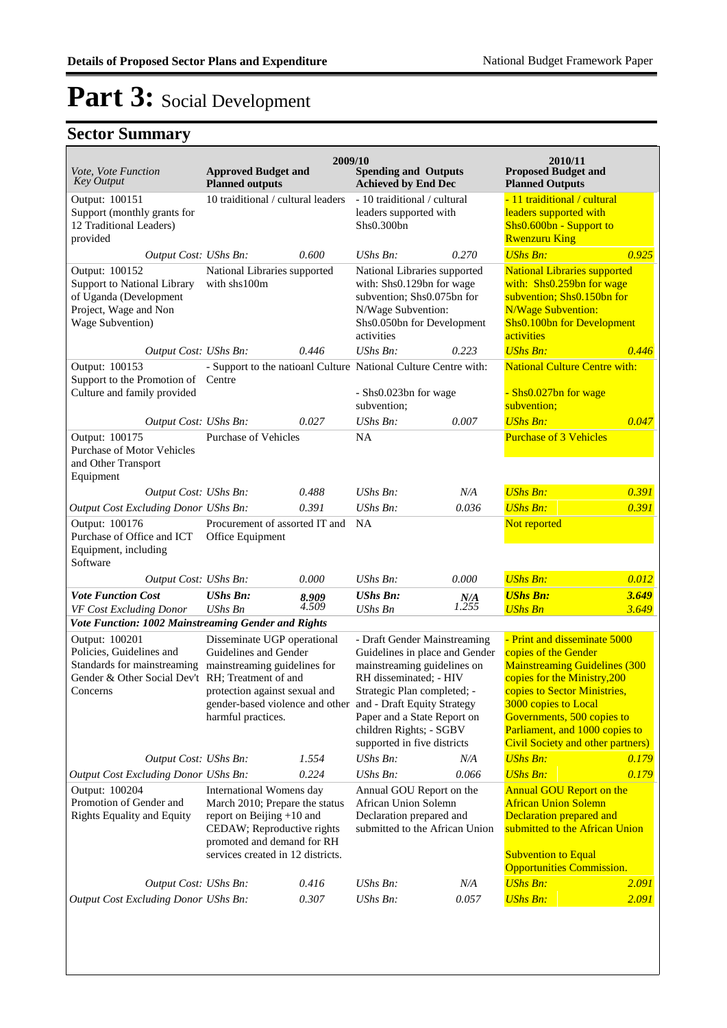| Vote, Vote Function<br><b>Key Output</b>                                                                                                                                                                                                                                   | <b>Approved Budget and</b><br><b>Planned outputs</b>                                                                                                                                                                                   | 2009/10                                                                                                        | <b>Spending and Outputs</b><br><b>Achieved by End Dec</b>                                                                                                                                                                                       |                                                                                                                                                                                                | 2010/11<br><b>Proposed Budget and</b><br><b>Planned Outputs</b>                                                                                                                                                                                                                                   |       |
|----------------------------------------------------------------------------------------------------------------------------------------------------------------------------------------------------------------------------------------------------------------------------|----------------------------------------------------------------------------------------------------------------------------------------------------------------------------------------------------------------------------------------|----------------------------------------------------------------------------------------------------------------|-------------------------------------------------------------------------------------------------------------------------------------------------------------------------------------------------------------------------------------------------|------------------------------------------------------------------------------------------------------------------------------------------------------------------------------------------------|---------------------------------------------------------------------------------------------------------------------------------------------------------------------------------------------------------------------------------------------------------------------------------------------------|-------|
| Output: 100151<br>Support (monthly grants for<br>12 Traditional Leaders)<br>provided                                                                                                                                                                                       | 10 traiditional / cultural leaders                                                                                                                                                                                                     |                                                                                                                | - 10 traiditional / cultural<br>leaders supported with<br>Shs0.300bn                                                                                                                                                                            |                                                                                                                                                                                                | - 11 traiditional / cultural<br>leaders supported with<br>Shs0.600bn - Support to<br><b>Rwenzuru King</b>                                                                                                                                                                                         |       |
| Output Cost: UShs Bn:                                                                                                                                                                                                                                                      |                                                                                                                                                                                                                                        | 0.600                                                                                                          | $UShs Bn$ :                                                                                                                                                                                                                                     | 0.270                                                                                                                                                                                          | <b>UShs Bn:</b>                                                                                                                                                                                                                                                                                   | 0.925 |
| Output: 100152<br>Support to National Library<br>of Uganda (Development<br>Project, Wage and Non<br>Wage Subvention)                                                                                                                                                       | National Libraries supported<br>with shs100m                                                                                                                                                                                           |                                                                                                                | National Libraries supported<br>with: Shs0.129bn for wage<br>subvention; Shs0.075bn for<br>N/Wage Subvention:<br>Shs0.050bn for Development<br>activities                                                                                       |                                                                                                                                                                                                | <b>National Libraries supported</b><br>with: $Shs0.259bn$ for wage<br>subvention; Shs0.150bn for<br><b>N/Wage Subvention:</b><br>Shs0.100bn for Development<br>activities                                                                                                                         |       |
| Output Cost: UShs Bn:                                                                                                                                                                                                                                                      |                                                                                                                                                                                                                                        | 0.446                                                                                                          | $UShs Bn$ :                                                                                                                                                                                                                                     | 0.223                                                                                                                                                                                          | <b>UShs Bn:</b>                                                                                                                                                                                                                                                                                   | 0.446 |
| Output: 100153<br>Support to the Promotion of Centre<br>Culture and family provided                                                                                                                                                                                        |                                                                                                                                                                                                                                        |                                                                                                                | - Support to the natioanl Culture National Culture Centre with:<br>- Shs0.023bn for wage                                                                                                                                                        |                                                                                                                                                                                                | <b>National Culture Centre with:</b><br>- Shs0.027bn for wage                                                                                                                                                                                                                                     |       |
|                                                                                                                                                                                                                                                                            |                                                                                                                                                                                                                                        |                                                                                                                | subvention;                                                                                                                                                                                                                                     |                                                                                                                                                                                                | subvention;                                                                                                                                                                                                                                                                                       |       |
| Output Cost: UShs Bn:<br>Output: 100175<br><b>Purchase of Motor Vehicles</b>                                                                                                                                                                                               | <b>Purchase of Vehicles</b>                                                                                                                                                                                                            | 0.027                                                                                                          | UShs Bn:<br>NA                                                                                                                                                                                                                                  | 0.007                                                                                                                                                                                          | <b>UShs Bn:</b><br><b>Purchase of 3 Vehicles</b>                                                                                                                                                                                                                                                  | 0.047 |
| and Other Transport<br>Equipment                                                                                                                                                                                                                                           |                                                                                                                                                                                                                                        |                                                                                                                |                                                                                                                                                                                                                                                 |                                                                                                                                                                                                |                                                                                                                                                                                                                                                                                                   |       |
| Output Cost: UShs Bn:                                                                                                                                                                                                                                                      |                                                                                                                                                                                                                                        | 0.488                                                                                                          | $UShs Bn$ :                                                                                                                                                                                                                                     | N/A                                                                                                                                                                                            | <b>UShs Bn:</b>                                                                                                                                                                                                                                                                                   | 0.391 |
| Output Cost Excluding Donor UShs Bn:                                                                                                                                                                                                                                       |                                                                                                                                                                                                                                        | 0.391                                                                                                          | $UShs Bn$ :                                                                                                                                                                                                                                     | 0.036                                                                                                                                                                                          | <b>UShs Bn:</b>                                                                                                                                                                                                                                                                                   | 0.391 |
| Output: 100176<br>Purchase of Office and ICT<br>Equipment, including<br>Software                                                                                                                                                                                           | Procurement of assorted IT and<br>Office Equipment                                                                                                                                                                                     |                                                                                                                | NA                                                                                                                                                                                                                                              |                                                                                                                                                                                                | Not reported                                                                                                                                                                                                                                                                                      |       |
| Output Cost: UShs Bn:                                                                                                                                                                                                                                                      |                                                                                                                                                                                                                                        | 0.000                                                                                                          | UShs $Bn$ :                                                                                                                                                                                                                                     | 0.000                                                                                                                                                                                          | <b>UShs Bn:</b>                                                                                                                                                                                                                                                                                   | 0.012 |
| <b>Vote Function Cost</b>                                                                                                                                                                                                                                                  | <b>UShs Bn:</b>                                                                                                                                                                                                                        | 8.909                                                                                                          | <b>UShs Bn:</b>                                                                                                                                                                                                                                 | N/A                                                                                                                                                                                            | <b>UShs Bn:</b>                                                                                                                                                                                                                                                                                   | 3.649 |
| VF Cost Excluding Donor                                                                                                                                                                                                                                                    | <b>UShs Bn</b>                                                                                                                                                                                                                         | 4.509                                                                                                          | <b>UShs Bn</b>                                                                                                                                                                                                                                  | 1.255                                                                                                                                                                                          | <b>UShs Bn</b>                                                                                                                                                                                                                                                                                    | 3.649 |
| Vote Function: 1002 Mainstreaming Gender and Rights                                                                                                                                                                                                                        |                                                                                                                                                                                                                                        |                                                                                                                |                                                                                                                                                                                                                                                 |                                                                                                                                                                                                |                                                                                                                                                                                                                                                                                                   |       |
| Output: 100201<br>Policies, Guidelines and<br>Gender & Other Social Dev't RH; Treatment of and<br>Concerns                                                                                                                                                                 | Disseminate UGP operational<br>Guidelines and Gender<br>Standards for mainstreaming mainstreaming guidelines for<br>protection against sexual and<br>gender-based violence and other and - Draft Equity Strategy<br>harmful practices. |                                                                                                                | - Draft Gender Mainstreaming<br>Guidelines in place and Gender<br>mainstreaming guidelines on<br>RH disseminated; - HIV<br>Strategic Plan completed; -<br>Paper and a State Report on<br>children Rights; - SGBV<br>supported in five districts |                                                                                                                                                                                                | - Print and disseminate 5000<br>copies of the Gender<br><b>Mainstreaming Guidelines (300</b><br>copies for the Ministry, 200<br>copies to Sector Ministries,<br>3000 copies to Local<br>Governments, 500 copies to<br>Parliament, and 1000 copies to<br><b>Civil Society and other partners</b> ) |       |
| Output Cost: UShs Bn:                                                                                                                                                                                                                                                      |                                                                                                                                                                                                                                        | 1.554                                                                                                          | UShs Bn:                                                                                                                                                                                                                                        | N/A                                                                                                                                                                                            | <b>UShs Bn:</b>                                                                                                                                                                                                                                                                                   | 0.179 |
| Output Cost Excluding Donor UShs Bn:                                                                                                                                                                                                                                       |                                                                                                                                                                                                                                        | 0.224                                                                                                          | UShs Bn:                                                                                                                                                                                                                                        | 0.066                                                                                                                                                                                          | <b>UShs Bn:</b>                                                                                                                                                                                                                                                                                   | 0.179 |
| Output: 100204<br>International Womens day<br>Promotion of Gender and<br>March 2010; Prepare the status<br><b>Rights Equality and Equity</b><br>report on Beijing +10 and<br>CEDAW; Reproductive rights<br>promoted and demand for RH<br>services created in 12 districts. |                                                                                                                                                                                                                                        | Annual GOU Report on the<br>African Union Solemn<br>Declaration prepared and<br>submitted to the African Union |                                                                                                                                                                                                                                                 | <b>Annual GOU Report on the</b><br><b>African Union Solemn</b><br>Declaration prepared and<br>submitted to the African Union<br><b>Subvention to Equal</b><br><b>Opportunities Commission.</b> |                                                                                                                                                                                                                                                                                                   |       |
| Output Cost: UShs Bn:                                                                                                                                                                                                                                                      |                                                                                                                                                                                                                                        | 0.416                                                                                                          | UShs Bn:                                                                                                                                                                                                                                        | N/A                                                                                                                                                                                            | <b>UShs Bn:</b>                                                                                                                                                                                                                                                                                   | 2.091 |
| <b>Output Cost Excluding Donor UShs Bn:</b>                                                                                                                                                                                                                                |                                                                                                                                                                                                                                        | 0.307                                                                                                          | UShs Bn:                                                                                                                                                                                                                                        | 0.057                                                                                                                                                                                          | <b>UShs Bn:</b>                                                                                                                                                                                                                                                                                   | 2.091 |
|                                                                                                                                                                                                                                                                            |                                                                                                                                                                                                                                        |                                                                                                                |                                                                                                                                                                                                                                                 |                                                                                                                                                                                                |                                                                                                                                                                                                                                                                                                   |       |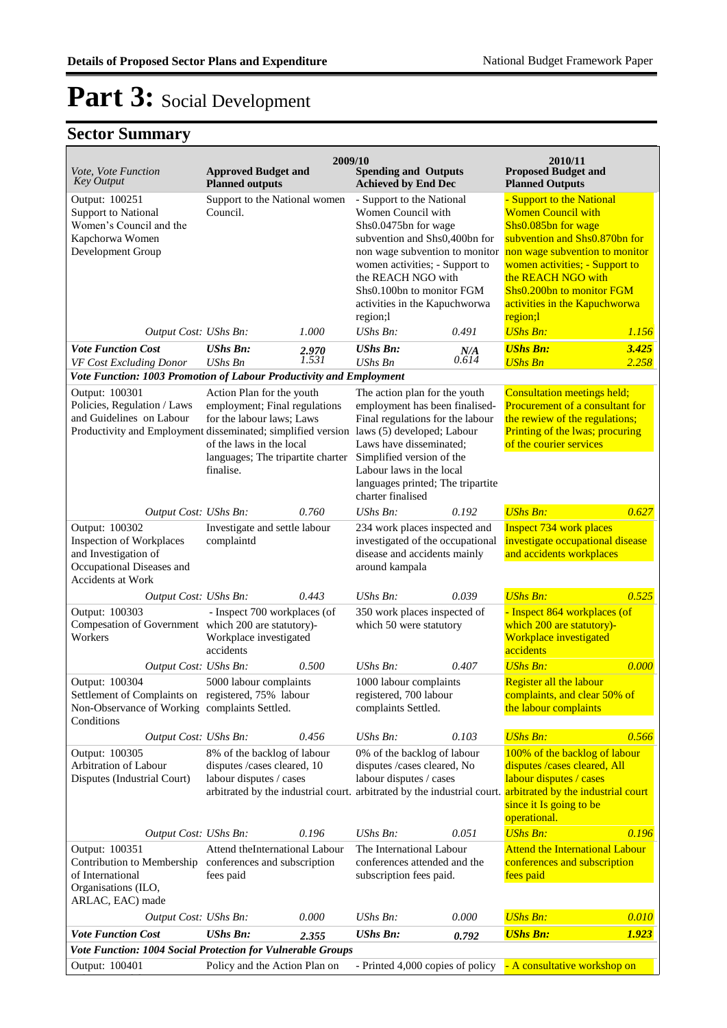## **Sector Summary**

Policies, Guidelines, Laws,

| 2009/10<br>2010/11                                                                                                   |                                                                                                                                                                                                                                       |                |                                                                                                                                                                                                                                                                                 |              |                                                                                                                                                                                                                                                                                    |                |  |
|----------------------------------------------------------------------------------------------------------------------|---------------------------------------------------------------------------------------------------------------------------------------------------------------------------------------------------------------------------------------|----------------|---------------------------------------------------------------------------------------------------------------------------------------------------------------------------------------------------------------------------------------------------------------------------------|--------------|------------------------------------------------------------------------------------------------------------------------------------------------------------------------------------------------------------------------------------------------------------------------------------|----------------|--|
| Vote, Vote Function<br><b>Key Output</b>                                                                             | <b>Approved Budget and</b><br><b>Planned outputs</b>                                                                                                                                                                                  |                | <b>Spending and Outputs</b><br><b>Achieved by End Dec</b>                                                                                                                                                                                                                       |              | <b>Proposed Budget and</b><br><b>Planned Outputs</b>                                                                                                                                                                                                                               |                |  |
| Output: 100251<br><b>Support to National</b><br>Women's Council and the<br>Kapchorwa Women<br>Development Group      | Support to the National women<br>Council.                                                                                                                                                                                             |                | - Support to the National<br>Women Council with<br>Shs0.0475bn for wage<br>subvention and Shs0,400bn for<br>non wage subvention to monitor<br>women activities; - Support to<br>the REACH NGO with<br>Shs0.100bn to monitor FGM<br>activities in the Kapuchworwa<br>region;     |              | - Support to the National<br><b>Women Council with</b><br>Shs0.085bn for wage<br>subvention and Shs0.870bn for<br>non wage subvention to monitor<br>women activities; - Support to<br>the REACH NGO with<br>Shs0.200bn to monitor FGM<br>activities in the Kapuchworwa<br>region;l |                |  |
| Output Cost: UShs Bn:<br><b>Vote Function Cost</b>                                                                   | <b>UShs Bn:</b>                                                                                                                                                                                                                       | 1.000          | UShs Bn:<br><b>UShs Bn:</b>                                                                                                                                                                                                                                                     | 0.491        | <b>UShs Bn:</b><br><b>UShs Bn:</b>                                                                                                                                                                                                                                                 | 1.156<br>3.425 |  |
| VF Cost Excluding Donor                                                                                              | <b>UShs Bn</b>                                                                                                                                                                                                                        | 2.970<br>1.531 | <b>UShs Bn</b>                                                                                                                                                                                                                                                                  | N/A<br>0.614 | <b>UShs Bn</b>                                                                                                                                                                                                                                                                     | 2.258          |  |
| Vote Function: 1003 Promotion of Labour Productivity and Employment                                                  |                                                                                                                                                                                                                                       |                |                                                                                                                                                                                                                                                                                 |              |                                                                                                                                                                                                                                                                                    |                |  |
| Output: 100301<br>Policies, Regulation / Laws<br>and Guidelines on Labour                                            | Action Plan for the youth<br>employment; Final regulations<br>for the labour laws; Laws<br>Productivity and Employment disseminated; simplified version<br>of the laws in the local<br>languages; The tripartite charter<br>finalise. |                | The action plan for the youth<br>employment has been finalised-<br>Final regulations for the labour<br>laws (5) developed; Labour<br>Laws have disseminated;<br>Simplified version of the<br>Labour laws in the local<br>languages printed; The tripartite<br>charter finalised |              | <b>Consultation meetings held;</b><br>Procurement of a consultant for<br>the rewiew of the regulations;<br>Printing of the lwas; procuring<br>of the courier services                                                                                                              |                |  |
| Output Cost: UShs Bn:                                                                                                |                                                                                                                                                                                                                                       | 0.760          | UShs Bn:                                                                                                                                                                                                                                                                        | 0.192        | <b>UShs Bn:</b>                                                                                                                                                                                                                                                                    | 0.627          |  |
| Output: 100302<br>Inspection of Workplaces<br>and Investigation of<br>Occupational Diseases and<br>Accidents at Work | Investigate and settle labour<br>complaintd                                                                                                                                                                                           |                | 234 work places inspected and<br>investigated of the occupational<br>disease and accidents mainly<br>around kampala                                                                                                                                                             |              | <b>Inspect 734 work places</b><br>investigate occupational disease<br>and accidents workplaces                                                                                                                                                                                     |                |  |
| Output Cost: UShs Bn:                                                                                                |                                                                                                                                                                                                                                       | 0.443          | UShs Bn:                                                                                                                                                                                                                                                                        | 0.039        | <b>UShs Bn:</b>                                                                                                                                                                                                                                                                    | 0.525          |  |
| Output: 100303<br>Compesation of Government which 200 are statutory)-<br>Workers                                     | - Inspect 700 workplaces (of<br>Workplace investigated<br>accidents                                                                                                                                                                   |                | 350 work places inspected of<br>which 50 were statutory                                                                                                                                                                                                                         |              | - Inspect 864 workplaces (of<br>which 200 are statutory)-<br>Workplace investigated<br>accidents                                                                                                                                                                                   |                |  |
| Output Cost: UShs Bn:<br>Output: 100304                                                                              | 5000 labour complaints                                                                                                                                                                                                                | 0.500          | $UShs$ $Bn$ :<br>1000 labour complaints                                                                                                                                                                                                                                         | 0.407        | <b>UShs Bn:</b><br>Register all the labour                                                                                                                                                                                                                                         | 0.000          |  |
| Settlement of Complaints on registered, 75% labour<br>Non-Observance of Working complaints Settled.<br>Conditions    |                                                                                                                                                                                                                                       |                | registered, 700 labour<br>complaints Settled.                                                                                                                                                                                                                                   |              | complaints, and clear 50% of<br>the labour complaints                                                                                                                                                                                                                              |                |  |
| Output Cost: UShs Bn:                                                                                                |                                                                                                                                                                                                                                       | 0.456          | UShs Bn:                                                                                                                                                                                                                                                                        | 0.103        | <b>UShs Bn:</b>                                                                                                                                                                                                                                                                    | 0.566          |  |
| Output: 100305<br>Arbitration of Labour<br>Disputes (Industrial Court)                                               | 8% of the backlog of labour<br>disputes / cases cleared, 10<br>labour disputes / cases                                                                                                                                                |                | 0% of the backlog of labour<br>disputes /cases cleared, No<br>labour disputes / cases<br>$UShs Bn$ :                                                                                                                                                                            |              | 100% of the backlog of labour<br>disputes /cases cleared, All<br>labour disputes / cases<br>arbitrated by the industrial court. arbitrated by the industrial court. arbitrated by the industrial court<br>since it Is going to be<br>operational.<br><b>UShs Bn:</b>               |                |  |
| Output Cost: UShs Bn:<br>Output: 100351                                                                              |                                                                                                                                                                                                                                       | 0.196          | The International Labour                                                                                                                                                                                                                                                        | 0.051        | <b>Attend the International Labour</b>                                                                                                                                                                                                                                             | 0.196          |  |
| of International<br>Organisations (ILO,<br>ARLAC, EAC) made                                                          | Attend theInternational Labour<br>Contribution to Membership conferences and subscription<br>fees paid                                                                                                                                |                | conferences attended and the<br>subscription fees paid.                                                                                                                                                                                                                         |              | conferences and subscription<br>fees paid                                                                                                                                                                                                                                          |                |  |
| Output Cost: UShs Bn:                                                                                                |                                                                                                                                                                                                                                       | 0.000          | UShs Bn:                                                                                                                                                                                                                                                                        | 0.000        | <b>UShs Bn:</b>                                                                                                                                                                                                                                                                    | 0.010          |  |
| <b>Vote Function Cost</b>                                                                                            | <b>UShs Bn:</b>                                                                                                                                                                                                                       | 2.355          | <b>UShs Bn:</b>                                                                                                                                                                                                                                                                 | 0.792        | <b>UShs Bn:</b>                                                                                                                                                                                                                                                                    | 1.923          |  |
| Vote Function: 1004 Social Protection for Vulnerable Groups                                                          |                                                                                                                                                                                                                                       |                |                                                                                                                                                                                                                                                                                 |              |                                                                                                                                                                                                                                                                                    |                |  |
| Output: 100401                                                                                                       | Policy and the Action Plan on                                                                                                                                                                                                         |                |                                                                                                                                                                                                                                                                                 |              | - Printed 4,000 copies of policy - A consultative workshop on                                                                                                                                                                                                                      |                |  |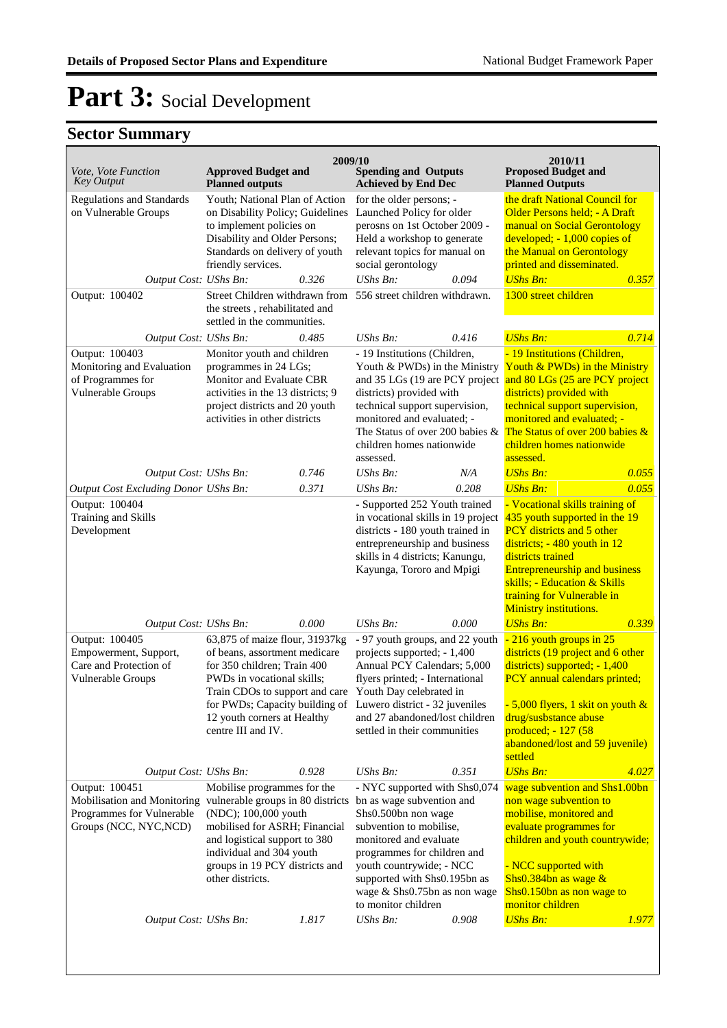| Vote, Vote Function<br><b>Key Output</b>                                               | <b>Approved Budget and</b><br><b>Planned outputs</b>                                                                                                                                                                                                                     | 2009/10 | <b>Spending and Outputs</b><br><b>Achieved by End Dec</b>                                                                                                                                                                                                                                      |       | 2010/11<br><b>Proposed Budget and</b><br><b>Planned Outputs</b>                                                                                                                                                                                                                     |              |
|----------------------------------------------------------------------------------------|--------------------------------------------------------------------------------------------------------------------------------------------------------------------------------------------------------------------------------------------------------------------------|---------|------------------------------------------------------------------------------------------------------------------------------------------------------------------------------------------------------------------------------------------------------------------------------------------------|-------|-------------------------------------------------------------------------------------------------------------------------------------------------------------------------------------------------------------------------------------------------------------------------------------|--------------|
| <b>Regulations and Standards</b><br>on Vulnerable Groups<br>Output Cost: UShs Bn:      | Youth; National Plan of Action<br>on Disability Policy; Guidelines<br>to implement policies on<br>Disability and Older Persons;<br>Standards on delivery of youth<br>friendly services.<br>0.326                                                                         |         | for the older persons; -<br>Launched Policy for older<br>perosns on 1st October 2009 -<br>Held a workshop to generate<br>relevant topics for manual on<br>social gerontology<br>$UShs Bn$ :<br>0.094                                                                                           |       | the draft National Council for<br>Older Persons held; - A Draft<br>manual on Social Gerontology<br>developed; - 1,000 copies of<br>the Manual on Gerontology<br>printed and disseminated.<br><b>UShs Bn:</b>                                                                        |              |
| Output: 100402                                                                         | Street Children withdrawn from<br>the streets, rehabilitated and<br>settled in the communities.                                                                                                                                                                          |         | 556 street children withdrawn.                                                                                                                                                                                                                                                                 |       | 1300 street children                                                                                                                                                                                                                                                                | 0.357        |
| Output Cost: UShs Bn:                                                                  |                                                                                                                                                                                                                                                                          | 0.485   | UShs Bn:                                                                                                                                                                                                                                                                                       | 0.416 | <b>UShs Bn:</b>                                                                                                                                                                                                                                                                     | 0.714        |
| Output: 100403<br>Monitoring and Evaluation<br>of Programmes for<br>Vulnerable Groups  | Monitor youth and children<br>programmes in 24 LGs;<br>Monitor and Evaluate CBR<br>activities in the 13 districts; 9<br>project districts and 20 youth<br>activities in other districts                                                                                  |         | - 19 Institutions (Children,<br>Youth & PWDs) in the Ministry<br>and 35 LGs (19 are PCY project<br>districts) provided with<br>technical support supervision,<br>monitored and evaluated; -<br>The Status of over 200 babies &<br>children homes nationwide<br>assessed.                       |       | - 19 Institutions (Children,<br>Youth & PWDs) in the Ministry<br>and 80 LGs (25 are PCY project<br>districts) provided with<br>technical support supervision,<br>monitored and evaluated; -<br>The Status of over 200 babies &<br>children homes nationwide<br>assessed.            |              |
| Output Cost: UShs Bn:                                                                  |                                                                                                                                                                                                                                                                          | 0.746   | UShs Bn:                                                                                                                                                                                                                                                                                       | N/A   | <b>UShs Bn:</b>                                                                                                                                                                                                                                                                     | 0.055        |
| Output Cost Excluding Donor UShs Bn:                                                   |                                                                                                                                                                                                                                                                          | 0.371   | UShs Bn:                                                                                                                                                                                                                                                                                       | 0.208 | <b>UShs Bn:</b>                                                                                                                                                                                                                                                                     | 0.055        |
| Output: 100404<br>Training and Skills<br>Development                                   |                                                                                                                                                                                                                                                                          |         | - Supported 252 Youth trained<br>in vocational skills in 19 project<br>districts - 180 youth trained in<br>entrepreneurship and business<br>skills in 4 districts; Kanungu,<br>Kayunga, Tororo and Mpigi                                                                                       |       | - Vocational skills training of<br>435 youth supported in the 19<br>PCY districts and 5 other<br>districts; $-480$ youth in 12<br>districts trained<br><b>Entrepreneurship and business</b><br>skills; - Education & Skills<br>training for Vulnerable in<br>Ministry institutions. |              |
| Output Cost: UShs Bn:                                                                  |                                                                                                                                                                                                                                                                          | 0.000   | UShs Bn:                                                                                                                                                                                                                                                                                       | 0.000 | <b>UShs Bn:</b>                                                                                                                                                                                                                                                                     | 0.339        |
| Output: 100405<br>Empowerment, Support,<br>Care and Protection of<br>Vulnerable Groups | 63,875 of maize flour, 31937kg<br>of beans, assortment medicare<br>for 350 children; Train 400<br>PWDs in vocational skills;<br>Train CDOs to support and care<br>12 youth corners at Healthy<br>centre III and IV.                                                      |         | - 97 youth groups, and 22 youth<br>projects supported; - 1,400<br>Annual PCY Calendars; 5,000<br>flyers printed; - International<br>Youth Day celebrated in<br>for PWDs; Capacity building of Luwero district - 32 juveniles<br>and 27 abandoned/lost children<br>settled in their communities |       | - 216 youth groups in 25<br>districts (19 project and 6 other<br>districts) supported; - 1,400<br>PCY annual calendars printed;<br>$-5,000$ flyers, 1 skit on youth &<br>drug/susbstance abuse<br>produced; - 127 (58<br>abandoned/lost and 59 juvenile)<br>settled                 |              |
| Output Cost: UShs Bn:                                                                  |                                                                                                                                                                                                                                                                          | 0.928   | <b>UShs Bn:</b>                                                                                                                                                                                                                                                                                | 0.351 | <b>UShs Bn:</b>                                                                                                                                                                                                                                                                     | 4.027        |
| Output: 100451<br>Programmes for Vulnerable<br>Groups (NCC, NYC, NCD)                  | Mobilise programmes for the<br>Mobilisation and Monitoring vulnerable groups in 80 districts<br>(NDC); 100,000 youth<br>mobilised for ASRH; Financial<br>and logistical support to 380<br>individual and 304 youth<br>groups in 19 PCY districts and<br>other districts. |         | - NYC supported with Shs0,074<br>bn as wage subvention and<br>Shs0.500bn non wage<br>subvention to mobilise,<br>monitored and evaluate<br>programmes for children and<br>youth countrywide; - NCC<br>supported with Shs0.195bn as<br>wage & Shs0.75bn as non wage<br>to monitor children       |       | wage subvention and Shs1.00bn<br>non wage subvention to<br>mobilise, monitored and<br>evaluate programmes for<br>children and youth countrywide;<br>- NCC supported with<br>Shs0.384bn as wage $&$<br>Shs0.150bn as non wage to<br>monitor children                                 |              |
| Output Cost: UShs Bn:                                                                  |                                                                                                                                                                                                                                                                          | 1.817   | <b>UShs Bn:</b>                                                                                                                                                                                                                                                                                | 0.908 | <b>UShs Bn:</b>                                                                                                                                                                                                                                                                     | <i>1.977</i> |
|                                                                                        |                                                                                                                                                                                                                                                                          |         |                                                                                                                                                                                                                                                                                                |       |                                                                                                                                                                                                                                                                                     |              |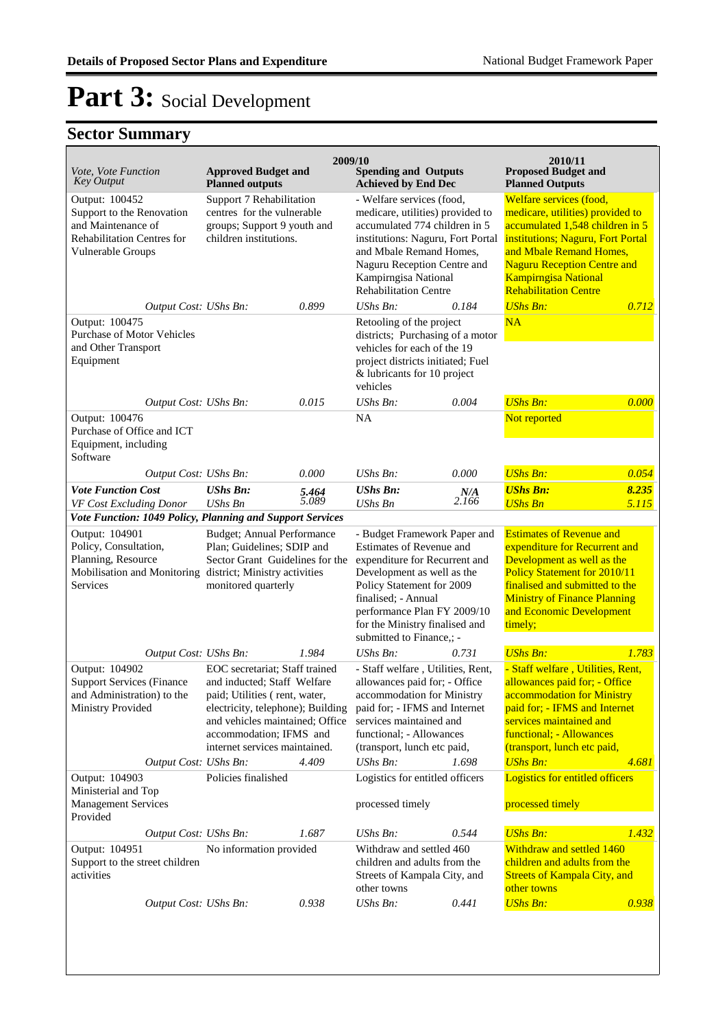| Vote, Vote Function<br><b>Key Output</b>                                                                                       | <b>Approved Budget and</b><br><b>Planned outputs</b>                                                                                                                                                                                        |                                                     | 2009/10<br><b>Spending and Outputs</b><br><b>Achieved by End Dec</b>                                                                                                                                                                                                     |                                                     | 2010/11<br><b>Proposed Budget and</b><br><b>Planned Outputs</b>                                                                                                                                                                                                     |                |
|--------------------------------------------------------------------------------------------------------------------------------|---------------------------------------------------------------------------------------------------------------------------------------------------------------------------------------------------------------------------------------------|-----------------------------------------------------|--------------------------------------------------------------------------------------------------------------------------------------------------------------------------------------------------------------------------------------------------------------------------|-----------------------------------------------------|---------------------------------------------------------------------------------------------------------------------------------------------------------------------------------------------------------------------------------------------------------------------|----------------|
| Output: 100452<br>Support to the Renovation<br>and Maintenance of<br><b>Rehabilitation Centres for</b><br>Vulnerable Groups    | Support 7 Rehabilitation<br>centres for the vulnerable<br>groups; Support 9 youth and<br>children institutions.                                                                                                                             |                                                     | - Welfare services (food,<br>medicare, utilities) provided to<br>accumulated 774 children in 5<br>institutions: Naguru, Fort Portal<br>and Mbale Remand Homes,<br>Naguru Reception Centre and<br>Kampirngisa National<br><b>Rehabilitation Centre</b>                    |                                                     | Welfare services (food,<br>medicare, utilities) provided to<br>accumulated 1,548 children in 5<br>institutions; Naguru, Fort Portal<br>and Mbale Remand Homes,<br><b>Naguru Reception Centre and</b><br><b>Kampirngisa National</b><br><b>Rehabilitation Centre</b> |                |
| Output Cost: UShs Bn:                                                                                                          |                                                                                                                                                                                                                                             | 0.899                                               | $UShs Bn$ :                                                                                                                                                                                                                                                              | 0.184                                               | <b>UShs Bn:</b>                                                                                                                                                                                                                                                     | 0.712          |
| Output: 100475<br><b>Purchase of Motor Vehicles</b><br>and Other Transport<br>Equipment                                        |                                                                                                                                                                                                                                             |                                                     | Retooling of the project<br>districts; Purchasing of a motor<br>vehicles for each of the 19<br>project districts initiated; Fuel<br>& lubricants for 10 project<br>vehicles                                                                                              |                                                     | NA                                                                                                                                                                                                                                                                  |                |
| Output Cost: UShs Bn:                                                                                                          |                                                                                                                                                                                                                                             | 0.015                                               | UShs Bn:                                                                                                                                                                                                                                                                 | 0.004                                               | <b>UShs Bn:</b>                                                                                                                                                                                                                                                     | 0.000          |
| Output: 100476<br>Purchase of Office and ICT<br>Equipment, including<br>Software                                               |                                                                                                                                                                                                                                             |                                                     | <b>NA</b>                                                                                                                                                                                                                                                                |                                                     | Not reported                                                                                                                                                                                                                                                        |                |
| Output Cost: UShs Bn:                                                                                                          |                                                                                                                                                                                                                                             | 0.000                                               | $UShs Bn$ :                                                                                                                                                                                                                                                              | 0.000                                               | <b>UShs Bn:</b>                                                                                                                                                                                                                                                     | 0.054          |
| <b>Vote Function Cost</b><br>VF Cost Excluding Donor<br>Vote Function: 1049 Policy, Planning and Support Services              | <b>UShs Bn:</b><br><b>UShs Bn</b>                                                                                                                                                                                                           | 5.464<br>5.089                                      | <b>UShs Bn:</b><br><b>UShs Bn</b>                                                                                                                                                                                                                                        | N/A<br>2.166                                        | <b>UShs Bn:</b><br><b>UShs Bn</b>                                                                                                                                                                                                                                   | 8.235<br>5.115 |
| Output: 104901                                                                                                                 |                                                                                                                                                                                                                                             |                                                     |                                                                                                                                                                                                                                                                          |                                                     | <b>Estimates of Revenue and</b>                                                                                                                                                                                                                                     |                |
| Policy, Consultation,<br>Planning, Resource<br>Mobilisation and Monitoring district; Ministry activities<br>Services           | <b>Budget; Annual Performance</b><br>Plan; Guidelines; SDIP and<br>Sector Grant Guidelines for the<br>monitored quarterly                                                                                                                   |                                                     | - Budget Framework Paper and<br>Estimates of Revenue and<br>expenditure for Recurrent and<br>Development as well as the<br>Policy Statement for 2009<br>finalised; - Annual<br>performance Plan FY 2009/10<br>for the Ministry finalised and<br>submitted to Finance,; - |                                                     | expenditure for Recurrent and<br>Development as well as the<br><b>Policy Statement for 2010/11</b><br>finalised and submitted to the<br><b>Ministry of Finance Planning</b><br>and Economic Development<br>timely;                                                  |                |
| Output Cost: UShs Bn:                                                                                                          |                                                                                                                                                                                                                                             | 1.984                                               | $UShs Bn$ :                                                                                                                                                                                                                                                              | 0.731                                               | <b>UShs Bn:</b>                                                                                                                                                                                                                                                     | 1.783          |
| Output: 104902<br><b>Support Services (Finance</b><br>and Administration) to the<br>Ministry Provided<br>Output Cost: UShs Bn: | EOC secretariat; Staff trained<br>and inducted; Staff Welfare<br>paid; Utilities (rent, water,<br>electricity, telephone); Building<br>and vehicles maintained; Office<br>accommodation; IFMS and<br>internet services maintained.<br>4.409 |                                                     | - Staff welfare, Utilities, Rent,<br>allowances paid for; - Office<br>accommodation for Ministry<br>paid for; - IFMS and Internet<br>services maintained and<br>functional; - Allowances<br>(transport, lunch etc paid,<br>UShs Bn:<br>1.698                             |                                                     | - Staff welfare, Utilities, Rent,<br>allowances paid for; - Office<br>accommodation for Ministry<br>paid for; - IFMS and Internet<br>services maintained and<br>functional; - Allowances<br>(transport, lunch etc paid,<br><b>UShs Bn:</b><br>4.681                 |                |
| Output: 104903<br>Policies finalished<br>Ministerial and Top<br><b>Management Services</b>                                     |                                                                                                                                                                                                                                             | Logistics for entitled officers<br>processed timely |                                                                                                                                                                                                                                                                          | Logistics for entitled officers<br>processed timely |                                                                                                                                                                                                                                                                     |                |
| Provided<br>Output Cost: UShs Bn:                                                                                              |                                                                                                                                                                                                                                             | 1.687                                               | UShs Bn:                                                                                                                                                                                                                                                                 | 0.544                                               | <b>UShs Bn:</b>                                                                                                                                                                                                                                                     | 1.432          |
| Output: 104951<br>Support to the street children<br>activities                                                                 | No information provided                                                                                                                                                                                                                     |                                                     | Withdraw and settled 460<br>children and adults from the<br>Streets of Kampala City, and<br>other towns                                                                                                                                                                  |                                                     | Withdraw and settled 1460<br>children and adults from the<br><b>Streets of Kampala City, and</b><br>other towns                                                                                                                                                     |                |
| Output Cost: UShs Bn:                                                                                                          |                                                                                                                                                                                                                                             | 0.938                                               | $UShs Bn$ :                                                                                                                                                                                                                                                              | 0.441                                               | <b>UShs Bn:</b>                                                                                                                                                                                                                                                     | 0.938          |
|                                                                                                                                |                                                                                                                                                                                                                                             |                                                     |                                                                                                                                                                                                                                                                          |                                                     |                                                                                                                                                                                                                                                                     |                |